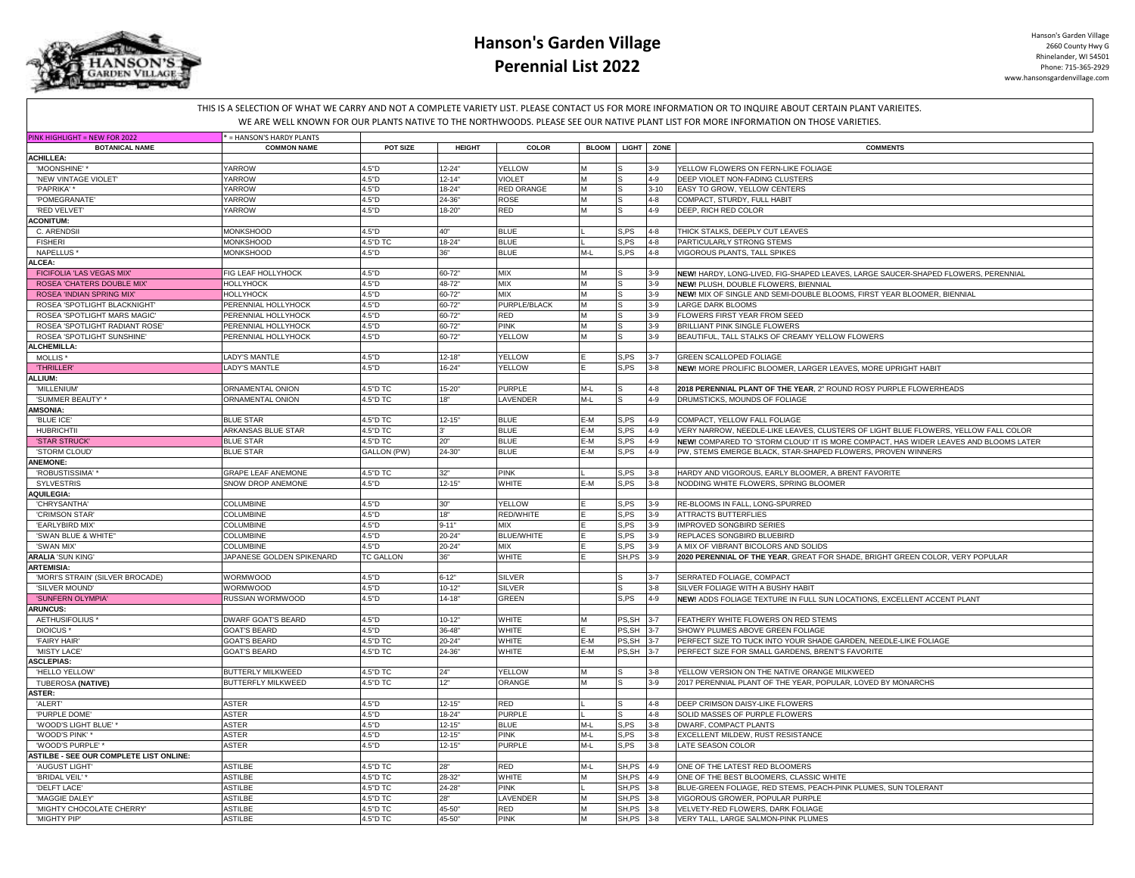

## **Hanson's Garden Village Perennial List 2022**

Hanson's Garden Village 2660 County Hwy G Rhinelander, WI 54501 Phone: 715-365-2929 www.hansonsgardenvillage.com

THIS IS A SELECTION OF WHAT WE CARRY AND NOT A COMPLETE VARIETY LIST. PLEASE CONTACT US FOR MORE INFORMATION OR TO INQUIRE ABOUT CERTAIN PLANT VARIEITES. WE ARE WELL KNOWN FOR OUR PLANTS NATIVE TO THE NORTHWOODS. PLEASE SEE OUR NATIVE PLANT LIST FOR MORE INFORMATION ON THOSE VARIETIES.

| PINK HIGHLIGHT = NEW FOR 2022                  | = HANSON'S HARDY PLANTS   |                  |               |                   |              |            |          |                                                                                      |
|------------------------------------------------|---------------------------|------------------|---------------|-------------------|--------------|------------|----------|--------------------------------------------------------------------------------------|
| <b>BOTANICAL NAME</b>                          | <b>COMMON NAME</b>        | POT SIZE         | <b>HEIGHT</b> | COLOR             | <b>BLOOM</b> | LIGHT ZONE |          | <b>COMMENTS</b>                                                                      |
| <b>ACHILLEA:</b>                               |                           |                  |               |                   |              |            |          |                                                                                      |
| 'MOONSHINE'                                    | YARROW                    | 4.5"D            | $12 - 24'$    | <b>YELLOW</b>     | M            |            | $3-9$    | YELLOW FLOWERS ON FERN-LIKE FOLIAGE                                                  |
| 'NEW VINTAGE VIOLET'                           | YARROW                    | 4.5"D            | $12 - 14'$    | <b>VIOLET</b>     | M            |            | $4 - 9$  | DEEP VIOLET NON-FADING CLUSTERS                                                      |
| 'PAPRIKA'*                                     | YARROW                    | 4.5"D            | 18-24         | RED ORANGE        | M            |            | $3 - 10$ | EASY TO GROW, YELLOW CENTERS                                                         |
| 'POMEGRANATE'                                  | YARROW                    | 4.5"D            | 24-36         | ROSE              | M            |            | $4 - 8$  | COMPACT, STURDY, FULL HABIT                                                          |
|                                                | YARROW                    | 4.5"D            | 18-20"        | <b>RED</b>        | M            |            | $4 - 9$  | DEEP. RICH RED COLOR                                                                 |
| 'RED VELVET'                                   |                           |                  |               |                   |              |            |          |                                                                                      |
| <b>ACONITUM:</b>                               |                           |                  |               |                   |              |            |          |                                                                                      |
| C. ARENDSII                                    | <b>MONKSHOOD</b>          | 4.5"D            | 40"           | <b>BLUE</b>       |              | S.PS       | $4 - 8$  | THICK STALKS, DEEPLY CUT LEAVES                                                      |
| <b>FISHERI</b>                                 | <b>MONKSHOOD</b>          | 4.5"D TC         | 18-24         | <b>BLUE</b>       |              | S.PS       | $4 - 8$  | PARTICULARLY STRONG STEMS                                                            |
| NAPELLUS                                       | MONKSHOOD                 | 4.5"D            | 36"           | <b>BLUE</b>       | M-L          | S,PS       | $4 - 8$  | VIGOROUS PLANTS, TALL SPIKES                                                         |
| <b>ALCEA:</b>                                  |                           |                  |               |                   |              |            |          |                                                                                      |
| FICIFOLIA 'LAS VEGAS MIX'                      | FIG LEAF HOLLYHOCK        | 4.5"D            | 60-72         | MIX               | M            |            | $3-9$    | NEW! HARDY, LONG-LIVED, FIG-SHAPED LEAVES, LARGE SAUCER-SHAPED FLOWERS, PERENNIAL    |
| ROSEA 'CHATERS DOUBLE MIX'                     | <b>HOLLYHOCK</b>          | 4.5"D            | 48-72         | <b>MIX</b>        | M            |            | $3-9$    | NEW! PLUSH, DOUBLE FLOWERS, BIENNIAL                                                 |
| ROSEA 'INDIAN SPRING MIX'                      | HOLLYHOCK                 | 4.5"D            | $60 - 72"$    | MIX               | M            |            | $3-9$    | NEW! MIX OF SINGLE AND SEMI-DOUBLE BLOOMS, FIRST YEAR BLOOMER, BIENNIAL              |
| ROSEA 'SPOTLIGHT BLACKNIGHT                    | PERENNIAL HOLLYHOCK       | 4.5"D            | $60 - 72"$    | PURPLE/BLACK      | M            |            | $3-9$    | <b>LARGE DARK BLOOMS</b>                                                             |
| ROSEA 'SPOTLIGHT MARS MAGIC'                   | PERENNIAL HOLLYHOCK       | 4.5"D            | 60-72         | RED               | M            |            | $3-9$    | FLOWERS FIRST YEAR FROM SEED                                                         |
| ROSEA 'SPOTLIGHT RADIANT ROSE'                 | PERENNIAL HOLLYHOCK       | 4.5"D            | 60-72"        | PINK              | M            |            | $3-9$    | <b>BRILLIANT PINK SINGLE FLOWERS</b>                                                 |
|                                                |                           |                  |               |                   |              |            |          |                                                                                      |
| ROSEA 'SPOTLIGHT SUNSHINE'                     | PERENNIAL HOLLYHOCK       | 4.5"D            | 60-72"        | YELLOW            | M            |            | $3 - 9$  | BEAUTIFUL, TALL STALKS OF CREAMY YELLOW FLOWERS                                      |
| <b>ALCHEMILLA:</b>                             |                           |                  |               |                   |              |            |          |                                                                                      |
| MOLLIS <sup>*</sup>                            | <b>LADY'S MANTLE</b>      | 4.5"D            | $12 - 18'$    | YELLOW            |              | S.PS       |          | <b>GREEN SCALLOPED FOLIAGE</b>                                                       |
| <b>THRILLER</b>                                | <b>LADY'S MANTLE</b>      | 4.5"D            | $16 - 24'$    | YELLOW            |              | S.PS       | $3 - 8$  | NEW! MORE PROLIFIC BLOOMER, LARGER LEAVES, MORE UPRIGHT HABIT                        |
| <b>ALLIUM:</b>                                 |                           |                  |               |                   |              |            |          |                                                                                      |
| 'MILLENIUM'                                    | ORNAMENTAL ONION          | 4.5"D TC         | $15 - 20'$    | <b>PURPLE</b>     | $M-L$        |            | $4 - 8$  | 2018 PERENNIAL PLANT OF THE YEAR, 2" ROUND ROSY PURPLE FLOWERHEADS                   |
| 'SUMMER BEAUTY' *                              | ORNAMENTAL ONION          | 4.5"D TC         | 18"           | LAVENDER          | M-L          |            | $4 - 9$  | DRUMSTICKS, MOUNDS OF FOLIAGE                                                        |
| <b>AMSONIA:</b>                                |                           |                  |               |                   |              |            |          |                                                                                      |
| 'BLUE ICE'                                     | <b>BLUE STAR</b>          | 4.5"D TC         | $12 - 15"$    | <b>BLUE</b>       | E-M          | S.PS       | $4 - 9$  | COMPACT. YELLOW FALL FOLIAGE                                                         |
| <b>HUBRICHTII</b>                              | ARKANSAS BLUE STAR        | 4.5"D TC         |               | <b>BLUE</b>       | E-M          | S.PS       | $4 - 9$  | VERY NARROW, NEEDLE-LIKE LEAVES, CLUSTERS OF LIGHT BLUE FLOWERS, YELLOW FALL COLOR   |
|                                                |                           |                  | 20"           |                   | E-M          |            |          |                                                                                      |
| 'STAR STRUCK'                                  | <b>BLUE STAR</b>          | 4.5"D TC         |               | <b>BLUE</b>       |              | S,PS       | $4 - 9$  | NEW! COMPARED TO 'STORM CLOUD' IT IS MORE COMPACT, HAS WIDER LEAVES AND BLOOMS LATER |
| 'STORM CLOUD'                                  | <b>BLUE STAR</b>          | GALLON (PW)      | 24-30'        | <b>BLUE</b>       | E-M          | S,PS       | $4 - 9$  | PW, STEMS EMERGE BLACK, STAR-SHAPED FLOWERS, PROVEN WINNERS                          |
| <b>ANEMONE:</b>                                |                           |                  |               |                   |              |            |          |                                                                                      |
| 'ROBUSTISSIMA''                                | <b>GRAPE LEAF ANEMONE</b> | 4.5"D TC         | 32"           | <b>PINK</b>       |              | S,PS       | $3 - 8$  | HARDY AND VIGOROUS, EARLY BLOOMER, A BRENT FAVORITE                                  |
| <b>SYLVESTRIS</b>                              | SNOW DROP ANEMONE         | 4.5"D            | $12 - 15"$    | <b>WHITE</b>      | E-M          | S, PS      | $3 - 8$  | NODDING WHITE FLOWERS, SPRING BLOOMER                                                |
| <b>AQUILEGIA:</b>                              |                           |                  |               |                   |              |            |          |                                                                                      |
| 'CHRYSANTHA                                    | <b>COLUMBINE</b>          | 4.5"D            | 30"           | YELLOW            |              | S.PS       | $3-9$    | RE-BLOOMS IN FALL, LONG-SPURRED                                                      |
| 'CRIMSON STAR'                                 | <b>COLUMBINE</b>          | 4.5"D            | 18"           | RED/WHITE         |              | S.PS       | $3-9$    | <b>ATTRACTS BUTTERFLIES</b>                                                          |
| 'EARLYBIRD MIX'                                | <b>COLUMBINE</b>          | 4.5"D            | $9 - 11'$     | MIX               |              | S, PS      | $3-9$    | <b>IMPROVED SONGBIRD SERIES</b>                                                      |
| 'SWAN BLUE & WHITE'                            | COLUMBINE                 | 4.5"D            | $20 - 24$     | <b>BLUE/WHITE</b> |              | S.PS       | $3 - 9$  | REPLACES SONGBIRD BLUEBIRD                                                           |
| 'SWAN MIX'                                     | <b>COLUMBINE</b>          | 4.5"D            | 20-24         | <b>MIX</b>        |              | S.PS       | $3-9$    | A MIX OF VIBRANT BICOLORS AND SOLIDS                                                 |
| <b>ARALIA 'SUN KING'</b>                       | JAPANESE GOLDEN SPIKENARD |                  | 36"           | WHITE             |              | SH,PS      | $3-9$    |                                                                                      |
|                                                |                           | <b>TC GALLON</b> |               |                   |              |            |          | 2020 PERENNIAL OF THE YEAR, GREAT FOR SHADE, BRIGHT GREEN COLOR, VERY POPULAR        |
| <b>ARTEMISIA:</b>                              |                           |                  |               |                   |              |            |          |                                                                                      |
| 'MORI'S STRAIN' (SILVER BROCADE)               | WORMWOOD                  | 4.5"D            | $6 - 12"$     | <b>SILVER</b>     |              |            | $3 - 7$  | SERRATED FOLIAGE, COMPACT                                                            |
| 'SILVER MOUND'                                 | WORMWOOD                  | 4.5"D            | $10 - 12"$    | <b>SILVER</b>     |              |            | $3 - 8$  | SILVER FOLIAGE WITH A BUSHY HABIT                                                    |
| 'SUNFERN OLYMPIA'                              | RUSSIAN WORMWOOD          | 4.5"D            | $14 - 18"$    | <b>GREEN</b>      |              | S.PS       | $4 - 9$  | NEW! ADDS FOLIAGE TEXTURE IN FULL SUN LOCATIONS, EXCELLENT ACCENT PLANT              |
| <b>ARUNCUS:</b>                                |                           |                  |               |                   |              |            |          |                                                                                      |
| AETHUSIFOLIUS                                  | DWARF GOAT'S BEARD        | 4.5"D            | $10-12'$      | <b>WHITE</b>      | M            | PS.SH      |          | FEATHERY WHITE FLOWERS ON RED STEMS                                                  |
| DIOICUS <sup>*</sup>                           | <b>GOAT'S BEARD</b>       | 4.5"D            | 36-48         | WHITE             |              | PS, SH     | $3 - 7$  | SHOWY PLUMES ABOVE GREEN FOLIAGE                                                     |
| 'FAIRY HAIR                                    | <b>GOAT'S BEARD</b>       | 4.5"D TC         | $20 - 24"$    | <b>WHITE</b>      | E-M          | PS.SH 3-7  |          | PERFECT SIZE TO TUCK INTO YOUR SHADE GARDEN, NEEDLE-LIKE FOLIAGE                     |
| 'MISTY LACE                                    | <b>GOAT'S BEARD</b>       | 4.5"D TC         | 24-36'        | <b>WHITE</b>      | E-M          | PS, SH 3-7 |          | PERFECT SIZE FOR SMALL GARDENS, BRENT'S FAVORITE                                     |
| <b>ASCLEPIAS:</b>                              |                           |                  |               |                   |              |            |          |                                                                                      |
| 'HELLO YELLOW'                                 | BUTTERLY MILKWEED         | 4.5"D TC         | 24"           | YELLOW            | M            |            | $3 - 8$  | YELLOW VERSION ON THE NATIVE ORANGE MILKWEED                                         |
|                                                | BUTTERFLY MILKWEED        | 4.5"D TC         | 12"           | ORANGE            | M            |            | $3-9$    | 2017 PERENNIAL PLANT OF THE YEAR, POPULAR, LOVED BY MONARCHS                         |
| <b>TUBEROSA (NATIVE)</b>                       |                           |                  |               |                   |              |            |          |                                                                                      |
| <b>ASTER:</b>                                  |                           |                  |               |                   |              |            |          |                                                                                      |
| 'ALERT'                                        | <b>ASTER</b>              | 4.5"D            | $12 - 15"$    | <b>RED</b>        |              |            | $4 - 8$  | DEEP CRIMSON DAISY-LIKE FLOWERS                                                      |
| 'PURPLE DOME'                                  | ASTER                     | 4.5"D            | 18-24         | <b>PURPLE</b>     |              |            | $4 - 8$  | SOLID MASSES OF PURPLE FLOWERS                                                       |
| 'WOOD'S LIGHT BLUE' *                          | ASTER                     | 4.5"D            | $12 - 15'$    | <b>BLUE</b>       | M-L          | S,PS       | $3 - 8$  | DWARF, COMPACT PLANTS                                                                |
| 'WOOD'S PINK'                                  | <b>ASTER</b>              | 4.5"D            | $12 - 15"$    | PINK              | M-L          | S,PS       | $3 - 8$  | EXCELLENT MILDEW, RUST RESISTANCE                                                    |
| 'WOOD'S PURPLE'                                | ASTER                     | 4.5"D            | $12 - 15'$    | <b>PURPLE</b>     | $M-L$        | S, PS      | $3 - 8$  | LATE SEASON COLOR                                                                    |
| <b>ASTILBE - SEE OUR COMPLETE LIST ONLINE:</b> |                           |                  |               |                   |              |            |          |                                                                                      |
| 'AUGUST LIGHT'                                 | <b>ASTILBE</b>            | 4.5"D TC         | 28"           | RED               | $M-L$        | SH, PS 4-9 |          | ONE OF THE LATEST RED BLOOMERS                                                       |
| 'BRIDAL VEIL'*                                 | <b>ASTILBE</b>            | 4.5"D TC         | 28-32"        | WHITE             | M            | SH, PS 4-9 |          | ONE OF THE BEST BLOOMERS, CLASSIC WHITE                                              |
| 'DELFT LACE'                                   | <b>ASTILBE</b>            | 4.5"D TC         | 24-28         | PINK              |              | SH,PS      | $3 - 8$  | BLUE-GREEN FOLIAGE, RED STEMS, PEACH-PINK PLUMES, SUN TOLERANT                       |
| 'MAGGIE DALEY'                                 | ASTILBE                   | 4.5"D TC         | 28'           | LAVENDER          | M            | SH,PS      | $3 - 8$  | VIGOROUS GROWER, POPULAR PURPLE                                                      |
|                                                | ASTILBE                   | 4.5"D TC         |               |                   |              |            |          | VELVETY-RED FLOWERS, DARK FOLIAGE                                                    |
| 'MIGHTY CHOCOLATE CHERRY'                      |                           |                  | 45-50         | RED               | M            | SH, PS 3-8 |          |                                                                                      |
| 'MIGHTY PIP'                                   | ASTILBE                   | 4.5"D TC         | $45 - 50'$    | PINK              | M            | SH, PS 3-8 |          | VERY TALL, LARGE SALMON-PINK PLUMES                                                  |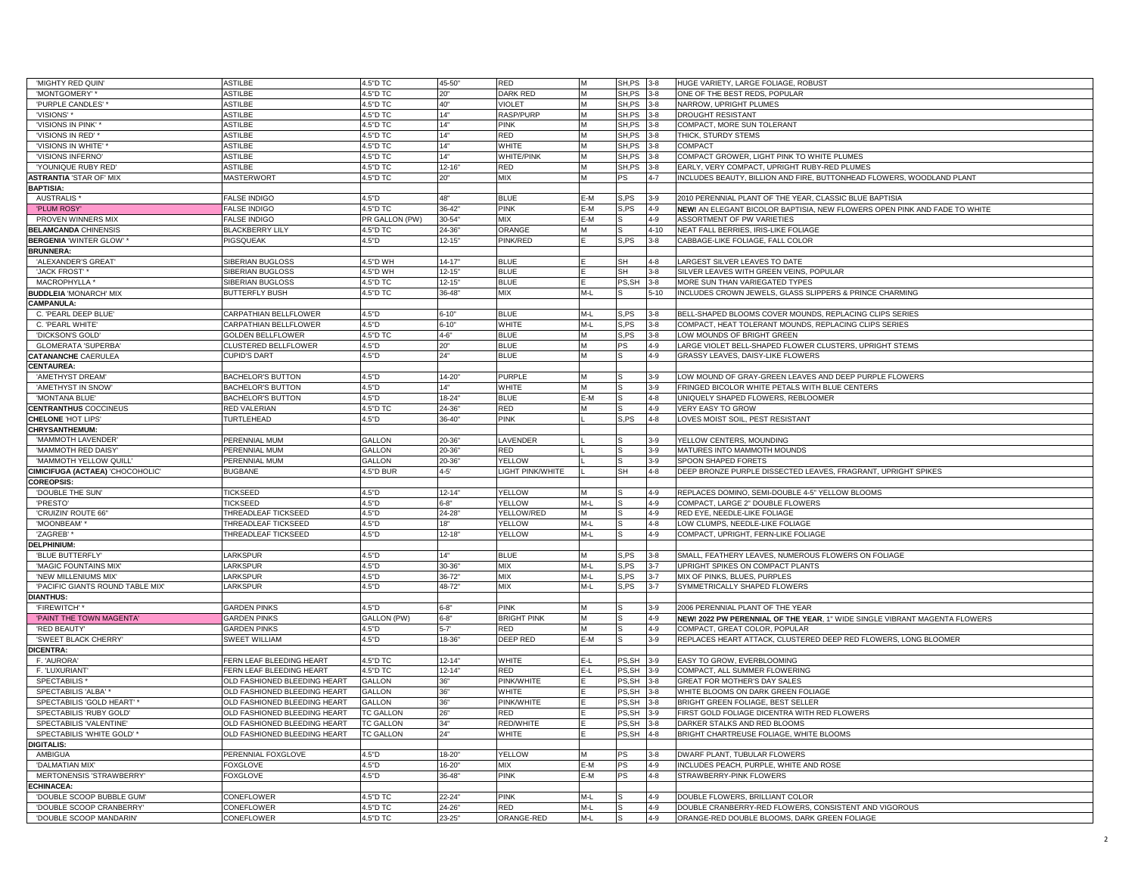| 'MIGHTY RED QUIN'                | <b>ASTILBE</b>                      | 4.5"D TC         | 45-50      | RED                | M     | SH,PS                            | $3 - 8$  | HUGE VARIETY, LARGE FOLIAGE, ROBUST                                        |
|----------------------------------|-------------------------------------|------------------|------------|--------------------|-------|----------------------------------|----------|----------------------------------------------------------------------------|
| 'MONTGOMERY' *                   | <b>ASTILBE</b>                      | 4.5"D TC         | 20"        | DARK RED           | M     | SH,PS                            | $3 - 8$  | ONE OF THE BEST REDS, POPULAR                                              |
| 'PURPLE CANDLES'                 | <b>ASTILBE</b>                      | 4.5"D TC         | 40"        | <b>VIOLET</b>      | M     | SH,PS                            | $3 - 8$  | NARROW, UPRIGHT PLUMES                                                     |
| 'VISIONS'                        | <b>ASTILBE</b>                      | 4.5"D TC         | 14"        | <b>RASP/PURP</b>   | M     | SH.PS                            | $3 - 8$  | <b>DROUGHT RESISTANT</b>                                                   |
| "VISIONS IN PINK"*               | <b>ASTILBE</b>                      | 4.5"D TC         | 14"        | <b>PINK</b>        | M     | SH,PS                            | $3 - 8$  | COMPACT, MORE SUN TOLERANT                                                 |
| 'VISIONS IN RED'                 | <b>ASTILBE</b>                      | 4.5"D TC         | 14"        | <b>RED</b>         | M     | SH, PS 3-8                       |          | THICK, STURDY STEMS                                                        |
| "VISIONS IN WHITE"               | ASTILBE                             | 4.5"D TC         | 14"        | WHITE              | M     | SH,PS                            | $3 - 8$  | COMPACT                                                                    |
| 'VISIONS INFERNO                 | <b>STILBE</b>                       | 4.5"D TC         | 14"        | WHITE/PINK         | M     | SH, PS                           | $3 - 8$  | COMPACT GROWER, LIGHT PINK TO WHITE PLUMES                                 |
| <b>YOUNIQUE RUBY RED</b>         | ASTILBE                             | 4.5"D TC         | $12 - 16'$ | <b>RED</b>         | M     | SH,PS                            | $3 - 8$  | EARLY, VERY COMPACT, UPRIGHT RUBY-RED PLUMES                               |
| <b>ASTRANTIA 'STAR OF' MIX</b>   | <b>MASTERWORT</b>                   | 4.5"D TC         | 20"        | <b>MIX</b>         | M     | PS                               | $4 - 7$  | INCLUDES BEAUTY, BILLION AND FIRE, BUTTONHEAD FLOWERS, WOODLAND PLANT      |
| <b>BAPTISIA:</b>                 |                                     |                  |            |                    |       |                                  |          |                                                                            |
| <b>AUSTRALIS</b>                 | <b>FALSE INDIGO</b>                 | 4.5"D            | 48"        | <b>BLUE</b>        | E-M   | S.PS                             | $3-9$    | 2010 PERENNIAL PLANT OF THE YEAR, CLASSIC BLUE BAPTISIA                    |
|                                  |                                     |                  |            |                    | E-M   |                                  |          |                                                                            |
| 'PLUM ROSY                       | <b>FALSE INDIGO</b>                 | 4.5"D TC         | 36-42      | <b>PINK</b>        |       | S.PS                             | $4 - 9$  | NEW! AN ELEGANT BICOLOR BAPTISIA, NEW FLOWERS OPEN PINK AND FADE TO WHITE  |
| PROVEN WINNERS MIX               | <b>FALSE INDIGO</b>                 | PR GALLON (PW)   | $30 - 54$  | <b>MIX</b>         | E-M   |                                  | $4 - 9$  | ASSORTMENT OF PW VARIETIES                                                 |
| <b>BELAMCANDA CHINENSIS</b>      | <b>BLACKBERRY LILY</b>              | 4.5"D TC         | 24-36"     | ORANGE             | M     |                                  | $4 - 10$ | NEAT FALL BERRIES, IRIS-LIKE FOLIAGE                                       |
| <b>BERGENIA 'WINTER GLOW'</b>    | PIGSQUEAK                           | 4.5"D            | $12 - 15"$ | PINK/RED           |       | S.PS                             | $3 - 8$  | CABBAGE-LIKE FOLIAGE, FALL COLOR                                           |
| <b>BRUNNERA:</b>                 |                                     |                  |            |                    |       |                                  |          |                                                                            |
| 'ALEXANDER'S GREAT'              | <b>SIBERIAN BUGLOSS</b>             | 4.5"D WH         | $14 - 17"$ | <b>BLUE</b>        |       | SН                               | $4 - 8$  | ARGEST SILVER LEAVES TO DATE                                               |
| 'JACK FROST'*                    | SIBERIAN BUGLOSS                    | 4.5"D WH         | $12 - 15"$ | <b>BLUE</b>        |       | SH                               | $3 - 8$  | SILVER LEAVES WITH GREEN VEINS, POPULAR                                    |
| MACROPHYLLA *                    | SIBERIAN BUGLOSS                    | 4.5"D TC         | $12 - 15$  | <b>BLUE</b>        |       | PS, SH                           | $3 - 8$  | MORE SUN THAN VARIEGATED TYPES                                             |
| <b>BUDDLEIA 'MONARCH' MIX</b>    | <b>BUTTERFLY BUSH</b>               | 4.5"D TC         | 36-48      | <b>MIX</b>         | M-L   |                                  | $5 - 10$ | INCLUDES CROWN JEWELS, GLASS SLIPPERS & PRINCE CHARMING                    |
| <b>CAMPANULA:</b>                |                                     |                  |            |                    |       |                                  |          |                                                                            |
| C. 'PEARL DEEP BLUE'             | CARPATHIAN BELLFLOWER               | 4.5"D            | $6 - 10'$  | <b>BLUE</b>        | M-L   | S.PS                             | $3 - 8$  | BELL-SHAPED BLOOMS COVER MOUNDS, REPLACING CLIPS SERIES                    |
| C. 'PEARL WHITE'                 | CARPATHIAN BELLFLOWER               | 4.5"D            | $6 - 10"$  | <b>WHITE</b>       | $M-L$ | S.PS                             | $3 - 8$  | COMPACT, HEAT TOLERANT MOUNDS, REPLACING CLIPS SERIES                      |
| 'DICKSON'S GOLD'                 | <b>GOLDEN BELLFLOWER</b>            | 4.5"D TC         | $4 - 6"$   | <b>BLUE</b>        | M     | S.PS                             | $3 - 8$  | LOW MOUNDS OF BRIGHT GREEN                                                 |
| <b>GLOMERATA 'SUPERBA'</b>       | CLUSTERED BELLFLOWER                | 4.5"D            | 20"        | <b>BLUE</b>        | M     | PS                               | $4 - 9$  | LARGE VIOLET BELL-SHAPED FLOWER CLUSTERS, UPRIGHT STEMS                    |
| <b>CATANANCHE CAERULEA</b>       | CUPID'S DART                        | 4.5"D            | 24"        | <b>BLUE</b>        | M     |                                  | $4 - 9$  | GRASSY LEAVES, DAISY-LIKE FLOWERS                                          |
| <b>CENTAUREA:</b>                |                                     |                  |            |                    |       |                                  |          |                                                                            |
|                                  |                                     |                  |            |                    |       |                                  |          | LOW MOUND OF GRAY-GREEN LEAVES AND DEEP PURPLE FLOWERS                     |
| 'AMETHYST DREAM'                 | <b>BACHELOR'S BUTTON</b>            | 4.5"D            | $14 - 20"$ | <b>PURPLE</b>      | M     |                                  | $3 - 9$  |                                                                            |
| 'AMETHYST IN SNOW                | <b>BACHELOR'S BUTTON</b>            | 4.5"D            | 4"         | WHITE              | M     |                                  | $3 - 9$  | FRINGED BICOLOR WHITE PETALS WITH BLUE CENTERS                             |
| 'MONTANA BLUE'                   | <b>BACHELOR'S BUTTON</b>            | 4.5"D            | $18 - 24$  | <b>BLUE</b>        | E-M   |                                  | $4 - 8$  | UNIQUELY SHAPED FLOWERS, REBLOOMER                                         |
| <b>CENTRANTHUS COCCINEUS</b>     | RED VALERIAN                        | 4.5"D TC         | 24-36"     | RED                | M     |                                  | $4 - 9$  | VERY EASY TO GROW                                                          |
| <b>CHELONE 'HOT LIPS'</b>        | TURTLEHEAD                          | 4.5"D            | 36-40      | <b>PINK</b>        |       | S,PS                             | $4 - 8$  | LOVES MOIST SOIL, PEST RESISTANT                                           |
| CHRYSANTHEMUM:                   |                                     |                  |            |                    |       |                                  |          |                                                                            |
| 'MAMMOTH LAVENDER'               | PERENNIAL MUM                       | GALLON           | 20-36"     | LAVENDER           |       |                                  | $3-9$    | YELLOW CENTERS, MOUNDING                                                   |
| 'MAMMOTH RED DAISY               | PERENNIAL MUM                       | <b>GALLON</b>    | 20-36      | <b>RED</b>         |       |                                  | $3 - 9$  | MATURES INTO MAMMOTH MOUNDS                                                |
| 'MAMMOTH YELLOW QUILL            | PERENNIAL MUM                       | <b>GALLON</b>    | 20-36"     | <b>YELLOW</b>      |       |                                  | $3 - 9$  | SPOON SHAPED FORETS                                                        |
| CIMICIFUGA (ACTAEA) 'CHOCOHOLIC' | <b>BUGBANE</b>                      | 4.5"D BUR        | $4 - 5'$   | LIGHT PINK/WHITE   |       | SH                               | $4 - 8$  | DEEP BRONZE PURPLE DISSECTED LEAVES, FRAGRANT, UPRIGHT SPIKES              |
| <b>COREOPSIS:</b>                |                                     |                  |            |                    |       |                                  |          |                                                                            |
| 'DOUBLE THE SUN'                 | <b>TICKSEED</b>                     | 4.5"D            | $12 - 14"$ | YELLOW             | M     |                                  | $4 - 9$  | REPLACES DOMINO, SEMI-DOUBLE 4-5" YELLOW BLOOMS                            |
| 'PRESTO'                         | <b>TICKSEED</b>                     | 4.5"D            | $6 - 8"$   | <b>YELLOW</b>      | $M-L$ |                                  | $4 - 9$  | COMPACT, LARGE 2" DOUBLE FLOWERS                                           |
| 'CRUIZIN' ROUTE 66"              | THREADLEAF TICKSEED                 | 4.5"D            | 24-28"     | YELLOW/RED         | M     |                                  | $4 - 9$  | RED EYE, NEEDLE-LIKE FOLIAGE                                               |
| 'MOONBEAM' *                     | THREADLEAF TICKSEED                 | 4.5"D            | 18"        | <b>YELLOW</b>      | $M-L$ |                                  | $4 - 8$  | LOW CLUMPS, NEEDLE-LIKE FOLIAGE                                            |
| 'ZAGREB'                         | THREADLEAF TICKSEED                 | 4.5"D            | $12 - 18$  | YELLOW             | M-L   |                                  | $4 - 9$  | COMPACT, UPRIGHT, FERN-LIKE FOLIAGE                                        |
|                                  |                                     |                  |            |                    |       |                                  |          |                                                                            |
| DELPHINIUM:                      |                                     |                  | 14"        |                    | M     |                                  |          |                                                                            |
| 'BLUE BUTTERFLY'                 | LARKSPUR                            | 4.5"D            |            | <b>BLUE</b>        |       | S.PS                             | $3 - 8$  | SMALL, FEATHERY LEAVES, NUMEROUS FLOWERS ON FOLIAGE                        |
| 'MAGIC FOUNTAINS MIX'            | LARKSPUR                            | 4.5"D            | $30 - 36"$ | MIX                | $M-L$ | S,PS                             | $3 - 7$  | UPRIGHT SPIKES ON COMPACT PLANTS                                           |
| 'NEW MILLENIUMS MIX'             | ARKSPUR                             | 4.5"D            | 36-72      | MIX                | $M-L$ | S,PS                             | $3 - 7$  | MIX OF PINKS, BLUES, PURPLES                                               |
| 'PACIFIC GIANTS ROUND TABLE MIX' | ARKSPUR                             | 4.5"D            | 48-72      | MIX                | M-L   | S,PS                             | $3 - 7$  | SYMMETRICALLY SHAPED FLOWERS                                               |
| <b>DIANTHUS:</b>                 |                                     |                  |            |                    |       |                                  |          |                                                                            |
| 'FIREWITCH'*                     | <b>GARDEN PINKS</b>                 | 4.5"D            | $6 - 8"$   | <b>PINK</b>        | M     |                                  | $3 - 9$  | 2006 PERENNIAL PLANT OF THE YEAR                                           |
| 'PAINT THE TOWN MAGENTA'         | <b>GARDEN PINKS</b>                 | GALLON (PW)      | $6 - 8"$   | <b>BRIGHT PINK</b> | M     |                                  | $4 - 9$  | NEW! 2022 PW PERENNIAL OF THE YEAR, 1" WIDE SINGLE VIBRANT MAGENTA FLOWERS |
| 'RED BEAUTY'                     | <b>GARDEN PINKS</b>                 | 4.5"D            | $5 - 7'$   | RED                | M     |                                  | $4 - 9$  | COMPACT, GREAT COLOR, POPULAR                                              |
| 'SWEET BLACK CHERRY              | <b>SWEET WILLIAM</b>                | 4.5"D            | 18-36"     | DEEP RED           | E-M   |                                  | $3 - 9$  | REPLACES HEART ATTACK, CLUSTERED DEEP RED FLOWERS, LONG BLOOMER            |
| <b>DICENTRA:</b>                 |                                     |                  |            |                    |       |                                  |          |                                                                            |
| F. 'AURORA'                      | FERN LEAF BLEEDING HEART            | 4.5"D TC         | $12 - 14"$ | <b>WHITE</b>       | $E-L$ | PS, SH                           | $3 - 9$  | EASY TO GROW, EVERBLOOMING                                                 |
| F. 'LUXURIANT                    | <b>ERN LEAF BLEEDING HEART</b>      | 4.5"D TC         | $12 - 14$  | RED                | $E-L$ | PS, SH 3-9                       |          | COMPACT, ALL SUMMER FLOWERING                                              |
| SPECTABILIS <sup>®</sup>         | <b>OLD FASHIONED BLEEDING HEART</b> | <b>GALLON</b>    | 36"        | PINK/WHITE         |       | PS, SH 3-8                       |          | GREAT FOR MOTHER'S DAY SALES                                               |
| SPECTABILIS 'ALBA'               | <b>OLD FASHIONED BLEEDING HEART</b> | <b>GALLON</b>    | 36"        | WHITE              |       | $\overline{\text{PS},\text{SH}}$ | $3 - 8$  | WHITE BLOOMS ON DARK GREEN FOLIAGE                                         |
| SPECTABILIS 'GOLD HEART' '       | OLD FASHIONED BLEEDING HEART        | GALLON           | 36"        | PINK/WHITE         |       | PS,SH                            | $3 - 8$  | BRIGHT GREEN FOLIAGE, BEST SELLER                                          |
| SPECTABILIS 'RUBY GOLD'          | OLD FASHIONED BLEEDING HEART        | <b>TC GALLON</b> |            | RED                |       | PS,SH                            | $3-9$    | FIRST GOLD FOLIAGE DICENTRA WITH RED FLOWERS                               |
|                                  |                                     |                  | 26"        |                    |       |                                  |          |                                                                            |
| SPECTABILIS 'VALENTINE           | OLD FASHIONED BLEEDING HEART        | <b>TC GALLON</b> | 34"        | RED/WHITE          |       | PS,SH                            | $3 - 8$  | DARKER STALKS AND RED BLOOMS                                               |
| SPECTABILIS 'WHITE GOLD'         | OLD FASHIONED BLEEDING HEART        | <b>TC GALLON</b> | 24"        | <b>WHITE</b>       |       | PS, SH 4-8                       |          | BRIGHT CHARTREUSE FOLIAGE, WHITE BLOOMS                                    |
| DIGITALIS:                       |                                     |                  |            |                    |       |                                  |          |                                                                            |
| AMBIGUA                          | PERENNIAL FOXGLOVE                  | 4.5"D            | 18-20"     | YELLOW             | M     | PS                               | $3 - 8$  | DWARF PLANT, TUBULAR FLOWERS                                               |
| 'DALMATIAN MIX'                  | <b>FOXGLOVE</b>                     | 4.5"D            | $16 - 20"$ | <b>MIX</b>         | $E-M$ | PS                               | $4 - 9$  | INCLUDES PEACH, PURPLE, WHITE AND ROSE                                     |
| MERTONENSIS 'STRAWBERRY'         | <b>FOXGLOVE</b>                     | 4.5"D            | $36 - 48$  | <b>PINK</b>        | E-M   | PS                               | $4 - 8$  | STRAWBERRY-PINK FLOWERS                                                    |
| <b>ECHINACEA:</b>                |                                     |                  |            |                    |       |                                  |          |                                                                            |
|                                  |                                     |                  |            |                    |       |                                  |          |                                                                            |
| 'DOUBLE SCOOP BUBBLE GUM         | <b>ONEFLOWER</b>                    | 4.5"D TC         | 22-24      | pink               | M-L   |                                  | $4 - 9$  | DOUBLE FLOWERS, BRILLIANT COLOR                                            |
| 'DOUBLE SCOOP CRANBERRY'         | <b>ONEFLOWER</b>                    | 4.5"D TC         | 24-26      | <b>RED</b>         | $M-L$ |                                  | $4 - 9$  | DOUBLE CRANBERRY-RED FLOWERS, CONSISTENT AND VIGOROUS                      |
| 'DOUBLE SCOOP MANDARIN'          | CONEFLOWER                          | 4.5"D TC         | $23 - 25"$ | ORANGE-RED         | $M-L$ |                                  | $4 - 9$  | ORANGE-RED DOUBLE BLOOMS, DARK GREEN FOLIAGE                               |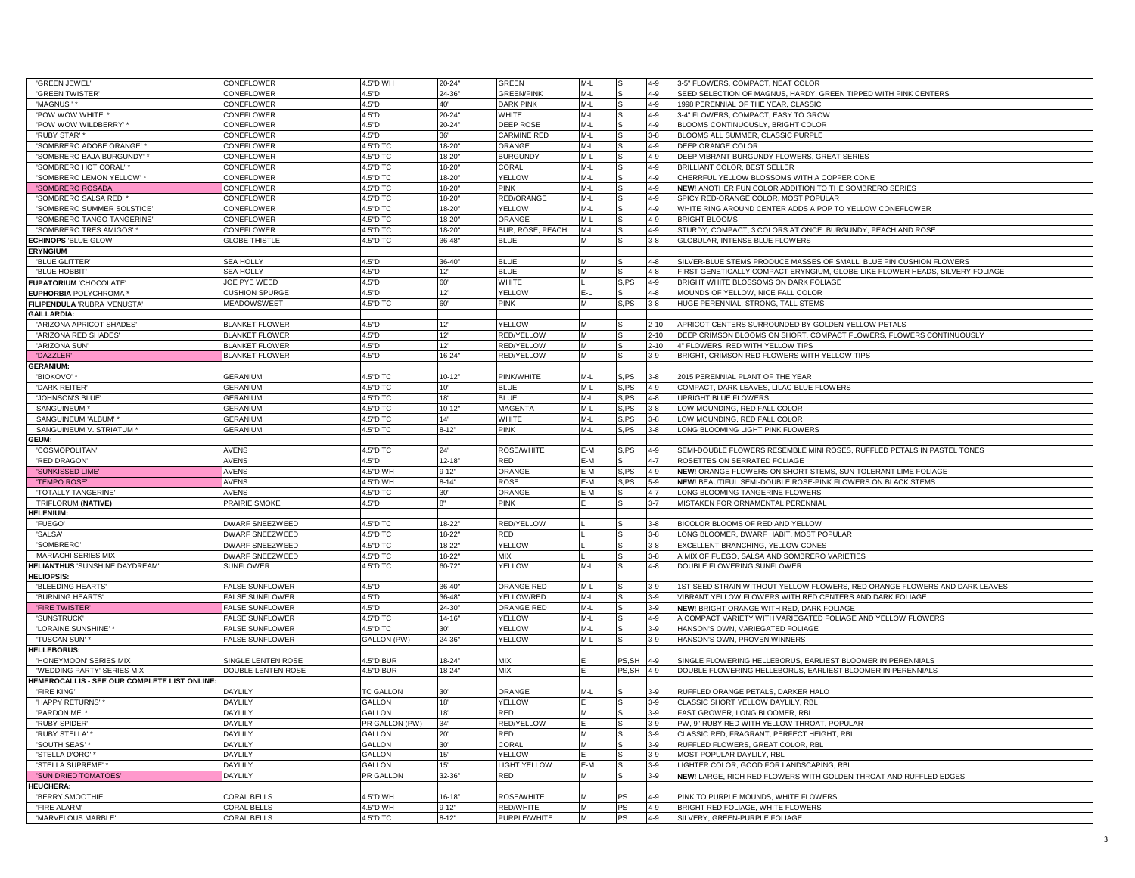| 'GREEN JEWEL'                                | CONEFLOWER                               | 4.5"D WH             | $20 - 24"$           | <b>GREEN</b>              | $M-L$          |          | $4 - 9$            | 3-5" FLOWERS, COMPACT, NEAT COLOR                                                                                            |
|----------------------------------------------|------------------------------------------|----------------------|----------------------|---------------------------|----------------|----------|--------------------|------------------------------------------------------------------------------------------------------------------------------|
| <b>'GREEN TWISTER</b>                        | CONEFLOWER                               | 4.5"D                | $24 - 36"$           | <b>GREEN/PINK</b>         | $M-L$          |          | $4 - 9$            | SEED SELECTION OF MAGNUS, HARDY, GREEN TIPPED WITH PINK CENTERS                                                              |
| 'MAGNUS'                                     | CONEFLOWER                               | 4.5"D                | 40"                  | <b>DARK PINK</b>          | $M-L$          |          | $4 - 9$            | 1998 PERENNIAL OF THE YEAR, CLASSIC                                                                                          |
| 'POW WOW WHITE'                              | CONEFLOWER                               | 4.5"D                | $20 - 24$            | WHITE                     | M-L            |          | $4 - 9$            | 3-4" FLOWERS, COMPACT, EASY TO GROW                                                                                          |
| 'POW WOW WILDBERRY' *                        | CONEFLOWER                               | 4.5"D                | $20 - 24"$           | <b>DEEP ROSE</b>          | $M-L$          |          | $4 - 9$            | BLOOMS CONTINUOUSLY, BRIGHT COLOR                                                                                            |
| 'RUBY STAR' *                                | CONEFLOWER                               | 1.5"D                | 36"                  | <b>CARMINE RED</b>        | $M-L$          |          | $3 - 8$            | BLOOMS ALL SUMMER, CLASSIC PURPLE                                                                                            |
| 'SOMBRERO ADOBE ORANGE'                      | CONEFLOWER                               | 1.5"D TC             | $8 - 20'$            | ORANGE                    | $M-L$          |          | $4 - 9$            | DEEP ORANGE COLOR                                                                                                            |
| 'SOMBRERO BAJA BURGUNDY'                     | CONEFLOWER                               | 1.5"D TC             | $18 - 20$            | <b>BURGUNDY</b>           | $M-L$          |          | $4 - 9$            | DEEP VIBRANT BURGUNDY FLOWERS, GREAT SERIES                                                                                  |
| 'SOMBRERO HOT CORAL'*                        | <b>CONEFLOWER</b>                        | 1.5"D TC             | $18 - 20"$           | CORAL                     | M-L            |          | $4 - 9$            | BRILLIANT COLOR, BEST SELLER                                                                                                 |
| 'SOMBRERO LEMON YELLOW'                      |                                          |                      | $18 - 20$            | <b>YELLOW</b>             |                |          |                    | CHERRFUL YELLOW BLOSSOMS WITH A COPPER CONE                                                                                  |
|                                              | CONEFLOWER                               | 4.5"D TC             |                      |                           | M-L            |          | $4 - 9$            |                                                                                                                              |
| 'SOMBRERO ROSADA'                            | CONEFLOWER                               | 1.5"D TC             | 18-20                | <b>PINK</b>               | $M-L$<br>$M-L$ |          | 4-9                | NEW! ANOTHER FUN COLOR ADDITION TO THE SOMBRERO SERIES                                                                       |
| 'SOMBRERO SALSA RED'                         | <b>CONEFLOWER</b>                        | 1.5"D TC             | $18 - 20$            | <b>RED/ORANGE</b>         |                |          | $4 - 9$            | SPICY RED-ORANGE COLOR, MOST POPULAR                                                                                         |
| 'SOMBRERO SUMMER SOLSTICE                    | <b>CONEFLOWER</b>                        | 1.5"D TC             | $18 - 20$            | YELLOW                    | $M-L$          |          | $4 - 9$            | WHITE RING AROUND CENTER ADDS A POP TO YELLOW CONEFLOWER                                                                     |
| 'SOMBRERO TANGO TANGERINE                    | CONEFLOWER                               | 4.5"D TC             | $18 - 20$            | ORANGE                    | M-L            |          | $4 - 9$            | <b>BRIGHT BLOOMS</b>                                                                                                         |
| 'SOMBRERO TRES AMIGOS'                       | CONEFLOWER                               | 4.5"D TC             | $18 - 20"$           | BUR, ROSE, PEACH          | $M-I$          |          | $4 - 9$            | STURDY, COMPACT, 3 COLORS AT ONCE: BURGUNDY, PEACH AND ROSE                                                                  |
| <b>ECHINOPS 'BLUE GLOW'</b>                  | <b>GLOBE THISTLE</b>                     | 1.5"D TC             | $36 - 48"$           | <b>BLUE</b>               |                |          | $3 - 8$            | GLOBULAR, INTENSE BLUE FLOWERS                                                                                               |
| <b>ERYNGIUM</b>                              |                                          |                      |                      |                           |                |          |                    |                                                                                                                              |
| 'BLUE GLITTER'                               | <b>SEA HOLLY</b>                         | 4.5"D                | $36 - 40"$           | <b>BLUE</b>               | M              |          | $4 - 8$            | SILVER-BLUE STEMS PRODUCE MASSES OF SMALL, BLUE PIN CUSHION FLOWERS                                                          |
| 'BLUE HOBBIT                                 | <b>SEA HOLLY</b>                         | 4.5"D                | 12"                  | <b>BLUE</b>               | M              |          | 4-8                | FIRST GENETICALLY COMPACT ERYNGIUM, GLOBE-LIKE FLOWER HEADS, SILVERY FOLIAGE                                                 |
| <b>EUPATORIUM 'CHOCOLATE</b>                 | JOE PYE WEED                             | 4.5"D                | 60"                  | WHITE                     |                | S,PS     | $4 - 9$            | BRIGHT WHITE BLOSSOMS ON DARK FOLIAGE                                                                                        |
| <b>EUPHORBIA POLYCHROMA</b>                  | <b>CUSHION SPURGE</b>                    | 4.5"D                | 12"                  | YELLOW                    | E-L            |          | $4 - 8$            | MOUNDS OF YELLOW, NICE FALL COLOR                                                                                            |
| FILIPENDULA 'RUBRA 'VENUSTA                  | <b>MEADOWSWEET</b>                       | 4.5"D TC             | 60"                  | <b>PINK</b>               | M              | S.PS     | $3 - 8$            | HUGE PERENNIAL, STRONG, TALL STEMS                                                                                           |
| GAILLARDIA:                                  |                                          |                      |                      |                           |                |          |                    |                                                                                                                              |
| 'ARIZONA APRICOT SHADES'                     | <b>BLANKET FLOWER</b>                    | 4.5"D                | 12"                  | <b>YELLOW</b>             | M              |          | $2 - 10$           | APRICOT CENTERS SURROUNDED BY GOLDEN-YELLOW PETALS                                                                           |
| 'ARIZONA RED SHADES'                         | <b>BLANKET FLOWER</b>                    | 4.5"D                | 12"                  | <b>RED/YELLOW</b>         | M              |          | $2 - 10$           | DEEP CRIMSON BLOOMS ON SHORT, COMPACT FLOWERS, FLOWERS CONTINUOUSLY                                                          |
| 'ARIZONA SUN'                                | <b>BLANKET FLOWER</b>                    | 4.5"D                | 12"                  | RED/YELLOW                | M              |          | $2 - 10$           | 4" FLOWERS, RED WITH YELLOW TIPS                                                                                             |
| 'DAZZLER'                                    | <b>BLANKET FLOWER</b>                    | 1.5"D                | $16 - 24"$           | <b>RED/YELLOW</b>         |                |          | $3-9$              | BRIGHT, CRIMSON-RED FLOWERS WITH YELLOW TIPS                                                                                 |
| <b>GERANIUM:</b>                             |                                          |                      |                      |                           |                |          |                    |                                                                                                                              |
| 'BIOKOVO'                                    | <b>GERANIUM</b>                          | 1.5"D TC             | $10 - 12"$           | <b>PINK/WHITE</b>         | $M-L$          | S,PS     | $3 - 8$            | 2015 PERENNIAL PLANT OF THE YEAR                                                                                             |
| 'DARK REITER                                 | <b>GERANIUM</b>                          | 4.5"D TC             | 10"                  | <b>BLUE</b>               | M-L            | S,PS     | $4 - 9$            | COMPACT, DARK LEAVES, LILAC-BLUE FLOWERS                                                                                     |
| 'JOHNSON'S BLUE                              | <b>GERANIUM</b>                          | 4.5"D TC             | 18"                  | <b>BLUE</b>               | $M-L$          | S, PS    | $4 - 8$            | UPRIGHT BLUE FLOWERS                                                                                                         |
| SANGUINEUM <sup>®</sup>                      | <b>GERANIUM</b>                          | 1.5"D TC             | $10 - 12$            | <b>MAGENTA</b>            | $M-L$          | S, PS    | $3 - 8$            | LOW MOUNDING, RED FALL COLOR                                                                                                 |
| SANGUINEUM 'ALBUM'                           | <b>GERANIUM</b>                          | .5"D TC              | 14"                  | WHITE                     | $M-L$          | S, PS    | $3 - 8$            | LOW MOUNDING, RED FALL COLOR                                                                                                 |
| SANGUINEUM V. STRIATUM                       | <b>GERANIUM</b>                          | 4.5"D TC             | $8 - 12"$            | <b>PINK</b>               | M-L            | S,PS     | $3 - 8$            | LONG BLOOMING LIGHT PINK FLOWERS                                                                                             |
| GEUM:                                        |                                          |                      |                      |                           |                |          |                    |                                                                                                                              |
| 'COSMOPOLITAN'                               | <b>AVENS</b>                             | 4.5"D TC             | 24"                  | ROSE/WHITE                | E-M            | ,PS      | $4 - 9$            | SEMI-DOUBLE FLOWERS RESEMBLE MINI ROSES, RUFFLED PETALS IN PASTEL TONES                                                      |
| 'RED DRAGON'                                 | <b>AVENS</b>                             | 1.5"D                | $12 - 18$            | <b>RED</b>                | E-M            |          | $4 - 7$            | ROSETTES ON SERRATED FOLIAGE                                                                                                 |
| 'SUNKISSED LIME'                             | <b>AVENS</b>                             | 1.5"D WH             | $9 - 12"$            | ORANGE                    | $E-M$          | S, PS    | $4 - 9$            |                                                                                                                              |
| <b>TEMPO ROSE'</b>                           | <b>AVENS</b>                             | 4.5"D WH             | $8 - 14"$            | ROSE                      | E-M            |          |                    | NEW! ORANGE FLOWERS ON SHORT STEMS, SUN TOLERANT LIME FOLIAGE<br>NEW! BEAUTIFUL SEMI-DOUBLE ROSE-PINK FLOWERS ON BLACK STEMS |
|                                              |                                          |                      |                      |                           |                | S,PS     | $5-9$              |                                                                                                                              |
| <b>TOTALLY TANGERINE</b>                     | <b>AVENS</b>                             | 4.5"D TC             | 30"                  | ORANGE                    | E-M            |          | 4-7                | LONG BLOOMING TANGERINE FLOWERS                                                                                              |
| TRIFLORUM (NATIVE)                           | PRAIRIE SMOKE                            | 4.5"D                |                      | <b>PINK</b>               |                |          | $3 - 7$            | MISTAKEN FOR ORNAMENTAL PERENNIAL                                                                                            |
| <b>HELENIUM:</b>                             |                                          |                      |                      |                           |                |          |                    |                                                                                                                              |
| 'FUEGO'                                      | <b>DWARF SNEEZWEED</b>                   | 1.5"D TC             | $18 - 22"$           | RED/YELLOW                |                |          | $3 - 8$            | BICOLOR BLOOMS OF RED AND YELLOW                                                                                             |
| 'SALSA'                                      | <b>DWARF SNEEZWEED</b>                   | 1.5"D TC             | $18 - 22"$           | RED                       |                |          | $3 - 8$            | LONG BLOOMER, DWARF HABIT, MOST POPULAR                                                                                      |
| 'SOMBRERO'                                   | DWARF SNEEZWEED                          | 1.5"D TC             | 18-22"               | <b>YELLOW</b>             |                |          | $3 - 8$            | EXCELLENT BRANCHING, YELLOW CONES                                                                                            |
| <b>MARIACHI SERIES MIX</b>                   | DWARF SNEEZWEED                          | 1.5"D TC             | $8 - 22"$            | <b>MIX</b>                |                |          | $3 - 8$            | A MIX OF FUEGO, SALSA AND SOMBRERO VARIETIES                                                                                 |
| <b>HELIANTHUS 'SUNSHINE DAYDREAM'</b>        | <b>SUNFLOWER</b>                         | 1.5"D TC             | $30 - 72"$           | YELLOW                    | M-L            |          | $4 - 8$            | DOUBLE FLOWERING SUNFLOWER                                                                                                   |
| <b>HELIOPSIS:</b>                            |                                          |                      |                      |                           |                |          |                    |                                                                                                                              |
| 'BLEEDING HEARTS'                            | <b>FALSE SUNFLOWER</b>                   | 4.5"D                | $36 - 40"$           | <b>ORANGE RED</b>         | $M-L$          |          | $3-9$              | 1ST SEED STRAIN WITHOUT YELLOW FLOWERS, RED ORANGE FLOWERS AND DARK LEAVES                                                   |
| 'BURNING HEARTS'                             | <b>FALSE SUNFLOWER</b>                   | 4.5"D                | $36 - 48$            | YELLOW/RED                | M-L            |          | $3 - 9$            | VIBRANT YELLOW FLOWERS WITH RED CENTERS AND DARK FOLIAGE                                                                     |
| 'FIRE TWISTER'                               | <b>FALSE SUNFLOWER</b>                   | 4.5"D                | 24-30                | ORANGE RED                | $M-L$          |          | $3 - 9$            | NEW! BRIGHT ORANGE WITH RED, DARK FOLIAGE                                                                                    |
| 'SUNSTRUCK'                                  | <b>FALSE SUNFLOWER</b>                   | 4.5"D TC             | $14 - 16"$           | YELLOW                    | $M-L$          |          | $4 - 9$            | A COMPACT VARIETY WITH VARIEGATED FOLIAGE AND YELLOW FLOWERS                                                                 |
| 'LORAINE SUNSHINE'                           | <b>FALSE SUNFLOWER</b>                   | 1.5"D TC             | 30"                  | YELLOW                    | $M-L$          |          | $3 - 9$            | HANSON'S OWN, VARIEGATED FOLIAGE                                                                                             |
| <b>TUSCAN SUN'</b>                           | <b>FALSE SUNFLOWER</b>                   | GALLON (PW)          | $24 - 36"$           | <b>YELLOW</b>             | $M-L$          |          | $3 - 9$            | HANSON'S OWN, PROVEN WINNERS                                                                                                 |
| HELLEBORUS:                                  |                                          |                      |                      |                           |                |          |                    |                                                                                                                              |
| 'HONEYMOON' SERIES MIX                       | SINGLE LENTEN ROSE                       | 4.5"D BUR            | $18 - 24$            | MIX                       |                | PS,SH    | $4 - 9$            | SINGLE FLOWERING HELLEBORUS, EARLIEST BLOOMER IN PERENNIALS                                                                  |
| 'WEDDING PARTY' SERIES MIX                   | DOUBLE LENTEN ROSE                       | 1.5"D BUR            | $18 - 24$            | <b>MIX</b>                |                | PS.SH    | $4 - 9$            | DOUBLE FLOWERING HELLEBORUS, EARLIEST BLOOMER IN PERENNIALS                                                                  |
| HEMEROCALLIS - SEE OUR COMPLETE LIST ONLINE: |                                          |                      |                      |                           |                |          |                    |                                                                                                                              |
| 'FIRE KING'                                  | DAYLILY                                  | <b>C GALLON</b>      | 30"                  | ORANGE                    | M-L            |          | $3-9$              | RUFFLED ORANGE PETALS, DARKER HALO                                                                                           |
| 'HAPPY RETURNS' *                            | <b>DAYLILY</b>                           | GALLON               | 18"                  | <b>YELLOW</b>             |                |          | $3 - 9$            | CLASSIC SHORT YELLOW DAYLILY, RBL                                                                                            |
| 'PARDON ME' *                                | <b>DAYLILY</b>                           | GALLON               | 18"                  | RED                       | M              |          | $3 - 9$            | FAST GROWER, LONG BLOOMER, RBL                                                                                               |
| 'RUBY SPIDER'                                | DAYLILY                                  | PR GALLON (PW)       | 34"                  | RED/YELLOW                | E              |          | $3-9$              | PW, 9" RUBY RED WITH YELLOW THROAT, POPULAR                                                                                  |
| 'RUBY STELLA'                                | DAYLILY                                  | GALLON               | 20"                  | <b>RED</b>                | M              |          | $3-9$              | CLASSIC RED, FRAGRANT, PERFECT HEIGHT, RBL                                                                                   |
| 'SOUTH SEAS'                                 | <b>DAYLILY</b>                           | GALLON               | 30"                  | CORAL                     | M              |          | $3-9$              | RUFFLED FLOWERS, GREAT COLOR, RBL                                                                                            |
| 'STELLA D'ORO'                               | <b>DAYLILY</b>                           | <b>GALLON</b>        | 15"                  | YELLOW                    |                |          | $3 - 9$            | MOST POPULAR DAYLILY, RBL                                                                                                    |
| 'STELLA SUPREME'                             |                                          |                      |                      |                           |                |          |                    |                                                                                                                              |
|                                              |                                          |                      |                      |                           |                |          |                    |                                                                                                                              |
|                                              | DAYLILY                                  | <b>GALLON</b>        | 15"                  | <b>LIGHT YELLOW</b>       | E-M            |          | $3 - 9$            | LIGHTER COLOR, GOOD FOR LANDSCAPING, RBL                                                                                     |
| 'SUN DRIED TOMATOES                          | DAYLILY                                  | PR GALLON            | 32-36"               | <b>RED</b>                |                |          | $3-9$              | NEW! LARGE. RICH RED FLOWERS WITH GOLDEN THROAT AND RUFFLED EDGES                                                            |
| <b>HEUCHERA:</b>                             |                                          |                      |                      |                           |                |          |                    |                                                                                                                              |
| 'BERRY SMOOTHIE'                             | CORAL BELLS                              | 1.5"D WH             | $16 - 18$            | ROSE/WHITE                | м              | PS       | 4-9                | PINK TO PURPLE MOUNDS, WHITE FLOWERS                                                                                         |
| 'FIRE ALARM'<br>'MARVELOUS MARBLE'           | <b>CORAL BELLS</b><br><b>CORAL BELLS</b> | 4.5"D WH<br>4.5"D TC | $9 - 12"$<br>$8-12"$ | RED/WHITE<br>PURPLE/WHITE | M<br>М         | PS<br>PS | $4 - 9$<br>$4 - 9$ | BRIGHT RED FOLIAGE, WHITE FLOWERS<br>SILVERY, GREEN-PURPLE FOLIAGE                                                           |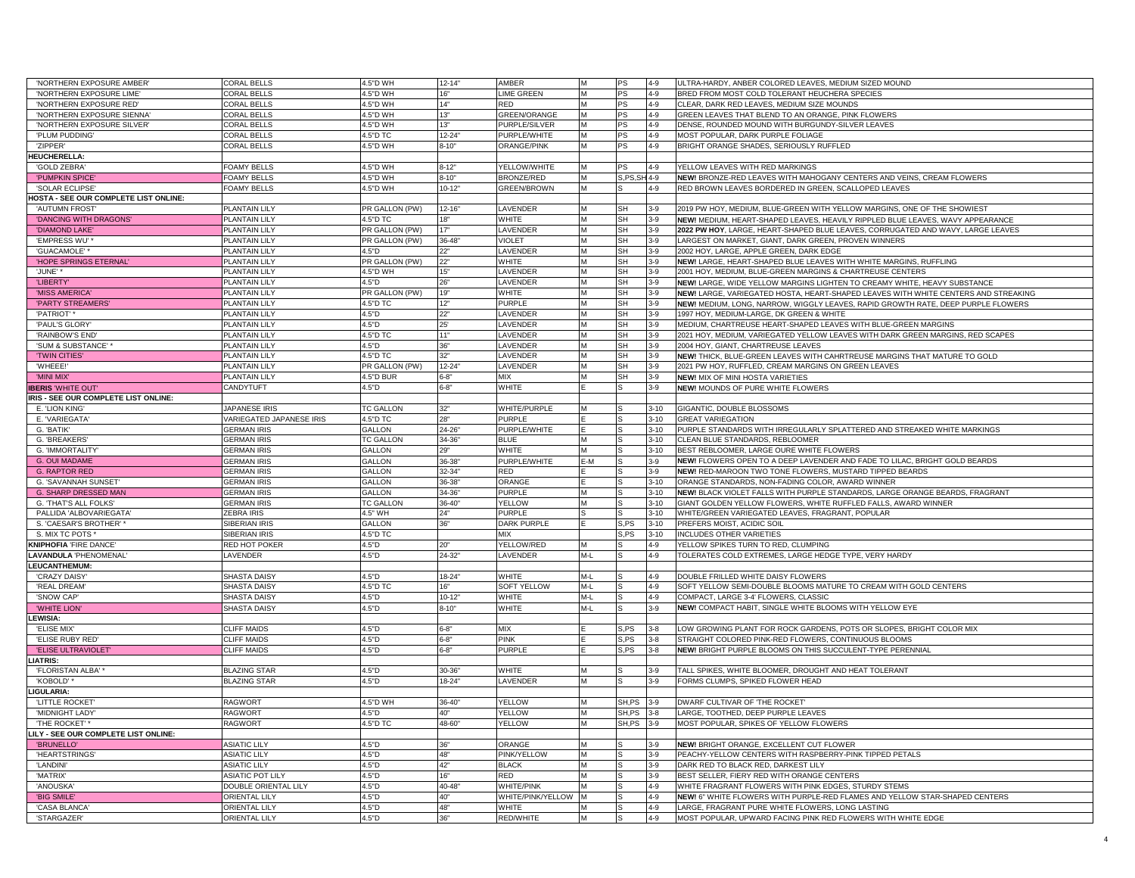| 'NORTHERN EXPOSURE AMBER'             | CORAL BELLS              | 4.5"D WH         | $12 - 14"$ | AMBER               |     | <b>PS</b>     | $4 - 9$  | ULTRA-HARDY, ANBER COLORED LEAVES, MEDIUM SIZED MOUND                              |
|---------------------------------------|--------------------------|------------------|------------|---------------------|-----|---------------|----------|------------------------------------------------------------------------------------|
| 'NORTHERN EXPOSURE LIME'              | <b>CORAL BELLS</b>       | 4.5"D WH         | 16"        | <b>LIME GREEN</b>   |     | PS            | $4 - 9$  | BRED FROM MOST COLD TOLERANT HEUCHERA SPECIES                                      |
| 'NORTHERN EXPOSURE RED                | <b>CORAL BELLS</b>       | 4.5"D WH         | 14"        | <b>RED</b>          |     | PS            | $4 - 9$  | CLEAR, DARK RED LEAVES, MEDIUM SIZE MOUNDS                                         |
| 'NORTHERN EXPOSURE SIENNA             | <b>CORAL BELLS</b>       | 4.5"D WH         | 13"        | GREEN/ORANGE        |     | PS            | $4 - 9$  | GREEN LEAVES THAT BLEND TO AN ORANGE, PINK FLOWERS                                 |
| 'NORTHERN EXPOSURE SILVER'            | <b>CORAL BELLS</b>       | 4.5"D WH         | 13"        | PURPLE/SILVER       | м   | <b>PS</b>     | $4 - 9$  | DENSE, ROUNDED MOUND WITH BURGUNDY-SILVER LEAVES                                   |
| 'PLUM PUDDING'                        | CORAL BELLS              | 4.5"D TC         | $12 - 24$  | PURPLE/WHITE        | м   | PS            | $4 - 9$  | MOST POPULAR, DARK PURPLE FOLIAGE                                                  |
| 'ZIPPER'                              | CORAL BELLS              | 4.5"D WH         | $8 - 10"$  | ORANGE/PINK         |     | <b>PS</b>     | $4 - 9$  | BRIGHT ORANGE SHADES, SERIOUSLY RUFFLED                                            |
| <b>HEUCHERELLA:</b>                   |                          |                  |            |                     |     |               |          |                                                                                    |
|                                       | <b>FOAMY BELLS</b>       | 4.5"D WH         | $8 - 12"$  |                     |     |               | $4 - 9$  | YELLOW LEAVES WITH RED MARKINGS                                                    |
| <b>'GOLD ZEBRA</b>                    |                          |                  |            | YELLOW/WHITE        |     |               |          |                                                                                    |
| 'PUMPKIN SPICE                        | OAMY BELLS               | 4.5"D WH         | $3 - 10"$  | <b>BRONZE/RED</b>   |     | S, PS, SH 4-9 |          | NEW! BRONZE-RED LEAVES WITH MAHOGANY CENTERS AND VEINS, CREAM FLOWERS              |
| 'SOLAR ECLIPSE                        | FOAMY BELLS              | 4.5"D WH         | $10 - 12"$ | GREEN/BROWN         | м   |               | $4 - 9$  | RED BROWN LEAVES BORDERED IN GREEN, SCALLOPED LEAVES                               |
| HOSTA - SEE OUR COMPLETE LIST ONLINE: |                          |                  |            |                     |     |               |          |                                                                                    |
| 'AUTUMN FROST'                        | PLANTAIN LILY            | PR GALLON (PW)   | $12 - 16"$ | LAVENDER            |     | <b>SH</b>     | $3-9$    | 2019 PW HOY, MEDIUM, BLUE-GREEN WITH YELLOW MARGINS, ONE OF THE SHOWIEST           |
| 'DANCING WITH DRAGONS'                | <b>PLANTAIN LILY</b>     | 4.5"D TC         | 18"        | WHITE               |     | SH            | $3 - 9$  | NEW! MEDIUM, HEART-SHAPED LEAVES, HEAVILY RIPPLED BLUE LEAVES, WAVY APPEARANCE     |
| 'DIAMOND LAKE                         | PLANTAIN LILY            | PR GALLON (PW)   | 17"        | LAVENDER            |     | <b>SH</b>     | $3 - 9$  | 2022 PW HOY, LARGE, HEART-SHAPED BLUE LEAVES, CORRUGATED AND WAVY, LARGE LEAVES    |
| 'EMPRESS WU'                          | <b>PLANTAIN LILY</b>     | PR GALLON (PW)   | $36 - 48$  | <b>VIOLET</b>       | M   | <b>SH</b>     | $3 - 9$  | LARGEST ON MARKET, GIANT, DARK GREEN, PROVEN WINNERS                               |
| 'GUACAMOLE'*                          | PLANTAIN LILY            | 4.5"D            | 22"        | LAVENDER            | M   | <b>SH</b>     | $3 - 9$  | 2002 HOY, LARGE, APPLE GREEN, DARK EDGE                                            |
| 'HOPE SPRINGS ETERNAL'                | <b>PLANTAIN LILY</b>     | PR GALLON (PW)   | 22"        | WHITE               |     | SH            | $3 - 9$  | NEW! LARGE, HEART-SHAPED BLUE LEAVES WITH WHITE MARGINS, RUFFLING                  |
| 'JUNE'*                               | PLANTAIN LILY            | 4.5"D WH         | 15"        | LAVENDER            |     | SH            | $3 - 9$  | 2001 HOY, MEDIUM, BLUE-GREEN MARGINS & CHARTREUSE CENTERS                          |
| <b>'LIBERTY</b>                       | PLANTAIN LILY            | 4.5"D            | 26"        | LAVENDER            |     | SH            | $3 - 9$  | NEW! LARGE, WIDE YELLOW MARGINS LIGHTEN TO CREAMY WHITE, HEAVY SUBSTANCE           |
| 'MISS AMERICA'                        | <b>PLANTAIN LILY</b>     | PR GALLON (PW)   | 19"        | WHITE               | м   | <b>SH</b>     | $3 - 9$  | NEW! LARGE, VARIEGATED HOSTA, HEART-SHAPED LEAVES WITH WHITE CENTERS AND STREAKING |
| 'PARTY STREAMERS'                     | <b>PLANTAIN LILY</b>     | 4.5"D TC         | 12"        | PURPLE              | м   | SH            | $3 - 9$  | NEW! MEDIUM, LONG, NARROW, WIGGLY LEAVES, RAPID GROWTH RATE, DEEP PURPLE FLOWERS   |
|                                       |                          |                  |            | LAVENDER            | м   |               |          |                                                                                    |
| 'PATRIOT' *                           | PLANTAIN LILY            | 4.5"D            | 22"        |                     |     | <b>SH</b>     | $3 - 9$  | 1997 HOY, MEDIUM-LARGE, DK GREEN & WHITE                                           |
| 'PAUL'S GLORY                         | PLANTAIN LILY            | 4.5"D            | 25'        | LAVENDER            |     | <b>SH</b>     | $3 - 9$  | MEDIUM, CHARTREUSE HEART-SHAPED LEAVES WITH BLUE-GREEN MARGINS                     |
| 'RAINBOW'S END                        | <b>PLANTAIN LILY</b>     | 4.5"D TC         | 11"        | LAVENDER            |     | <b>SH</b>     | $3 - 9$  | 2021 HOY, MEDIUM, VARIEGATED YELLOW LEAVES WITH DARK GREEN MARGINS, RED SCAPES     |
| 'SUM & SUBSTANCE'                     | PLANTAIN LILY            | 4.5"D            | 36"        | LAVENDER            |     | SH            | $3-9$    | 2004 HOY, GIANT, CHARTREUSE LEAVES                                                 |
| <b>TWIN CITIES'</b>                   | PLANTAIN LILY            | 4.5"D TC         | 32"        | LAVENDER            | м   | <b>SH</b>     | $3 - 9$  | NEW! THICK, BLUE-GREEN LEAVES WITH CAHRTREUSE MARGINS THAT MATURE TO GOLD          |
| 'WHEEE!                               | PLANTAIN LILY            | PR GALLON (PW)   | $12 - 24$  | LAVENDER            | м   | <b>SH</b>     | $3-9$    | 2021 PW HOY, RUFFLED, CREAM MARGINS ON GREEN LEAVES                                |
| 'MINI MIX                             | PLANTAIN LILY            | 4.5"D BUR        | $6 - 8"$   | МIХ                 |     | <b>SH</b>     | $3-9$    | <b>NEW!</b> MIX OF MINI HOSTA VARIETIES                                            |
| <b>IBERIS 'WHITE OUT'</b>             | CANDYTUFT                | 4.5"D            | $6 - 8"$   | WHITE               |     |               | $3 - 9$  | NEW! MOUNDS OF PURE WHITE FLOWERS                                                  |
| IRIS - SEE OUR COMPLETE LIST ONLINE:  |                          |                  |            |                     |     |               |          |                                                                                    |
| E. 'LION KING'                        | JAPANESE IRIS            | <b>TC GALLON</b> | 32"        | WHITE/PURPLE        |     |               | $3 - 10$ | GIGANTIC, DOUBLE BLOSSOMS                                                          |
| E. VARIEGATA                          | VARIEGATED JAPANESE IRIS | 4.5"D TC         | 28"        | PURPLE              |     |               | $3 - 10$ | <b>GREAT VARIEGATION</b>                                                           |
| G. 'BATIK'                            | <b>GERMAN IRIS</b>       | <b>GALLON</b>    | 24-26"     | PURPLE/WHITE        |     |               | $3 - 10$ | PURPLE STANDARDS WITH IRREGULARLY SPLATTERED AND STREAKED WHITE MARKINGS           |
| G. 'BREAKERS                          | <b>GERMAN IRIS</b>       | <b>TC GALLON</b> | 34-36"     | <b>BLUE</b>         |     |               | $3 - 10$ | CLEAN BLUE STANDARDS, REBLOOMER                                                    |
|                                       |                          |                  | 29"        | WHITE               |     |               | $3 - 10$ |                                                                                    |
| G. 'IMMORTALITY'                      | <b>GERMAN IRIS</b>       | GALLON           |            |                     |     |               |          | BEST REBLOOMER, LARGE OURE WHITE FLOWERS                                           |
| <b>G. OUI MADAME</b>                  | <b>GERMAN IRIS</b>       | GALLON           | 36-38"     | PURPLE/WHITE        | E-M |               | $3-9$    | NEW! FLOWERS OPEN TO A DEEP LAVENDER AND FADE TO LILAC, BRIGHT GOLD BEARDS         |
| <b>G. RAPTOR RED</b>                  | <b>GERMAN IRIS</b>       | <b>GALLON</b>    | $32 - 34$  | RED                 |     |               | $3-9$    | NEW! RED-MAROON TWO TONE FLOWERS, MUSTARD TIPPED BEARDS                            |
| G. 'SAVANNAH SUNSET'                  | <b>GERMAN IRIS</b>       | GALLON           | 36-38"     | ORANGE              |     |               | $3 - 10$ | ORANGE STANDARDS, NON-FADING COLOR, AWARD WINNER                                   |
| <b>G. SHARP DRESSED MAN</b>           | <b>GERMAN IRIS</b>       | GALLON           | 34-36"     | PURPLE              |     |               | $3 - 10$ | NEW! BLACK VIOLET FALLS WITH PURPLE STANDARDS, LARGE ORANGE BEARDS, FRAGRANT       |
| G. THAT'S ALL FOLKS'                  | <b>GERMAN IRIS</b>       | <b>TC GALLON</b> | $36 - 40$  | YELLOW              |     |               | $3 - 10$ | GIANT GOLDEN YELLOW FLOWERS, WHITE RUFFLED FALLS, AWARD WINNER                     |
| PALLIDA 'ALBOVARIEGATA                | ZEBRA IRIS               | 4.5" WH          | 24"        | <b>PURPLE</b>       |     |               | $3 - 10$ | WHITE/GREEN VARIEGATED LEAVES, FRAGRANT, POPULAR                                   |
| S. 'CAESAR'S BROTHER' *               | SIBERIAN IRIS            | GALLON           | 36"        | DARK PURPLE         |     | S,PS          | $3 - 10$ | PREFERS MOIST, ACIDIC SOIL                                                         |
| S. MIX TC POTS '                      | <b>SIBERIAN IRIS</b>     | 4.5"D TC         |            | MIX                 |     | S.PS          | $3 - 10$ | <b>INCLUDES OTHER VARIETIES</b>                                                    |
| <b>KNIPHOFIA 'FIRE DANCE</b>          | <b>RED HOT POKER</b>     | 4.5"D            | 20"        | YELLOW/RED          |     |               | $4 - 9$  | YELLOW SPIKES TURN TO RED, CLUMPING                                                |
| <b>LAVANDULA 'PHENOMENAL</b>          | LAVENDER                 | 4.5"D            | 24-32      | LAVENDER            | M-L |               | $4 - 9$  | TOLERATES COLD EXTREMES, LARGE HEDGE TYPE, VERY HARDY                              |
| LEUCANTHEMUM:                         |                          |                  |            |                     |     |               |          |                                                                                    |
| 'CRAZY DAISY                          | SHASTA DAISY             | 4.5"D            | $18 - 24$  | WHITE               | M-L |               | $4 - 9$  | DOUBLE FRILLED WHITE DAISY FLOWERS                                                 |
| 'REAL DREAM                           | <b>SHASTA DAISY</b>      | 4.5"D TC         |            | SOFT YELLOW         | M-L |               | $4 - 9$  | SOFT YELLOW SEMI-DOUBLE BLOOMS MATURE TO CREAM WITH GOLD CENTERS                   |
| 'SNOW CAP'                            | SHASTA DAISY             | 4.5"D            | $10 - 12"$ |                     | M-L |               | $4 - 9$  | COMPACT, LARGE 3-4' FLOWERS, CLASSIC                                               |
|                                       |                          |                  |            | WHITE               |     |               |          |                                                                                    |
| 'WHITE LION'                          | <b>SHASTA DAISY</b>      | 4.5"D            | $8 - 10"$  | WHITE               | M-L |               | $3-9$    | NEW! COMPACT HABIT, SINGLE WHITE BLOOMS WITH YELLOW EYE                            |
| <b>LEWISIA:</b>                       |                          |                  |            |                     |     |               |          |                                                                                    |
| 'ELISE MIX'                           | <b>CLIFF MAIDS</b>       | 4.5"D            | $6 - 8'$   | MIX                 |     | S.PS          | $3 - 8$  | LOW GROWING PLANT FOR ROCK GARDENS, POTS OR SLOPES, BRIGHT COLOR MIX               |
| 'ELISE RUBY RED'                      | <b>CLIFF MAIDS</b>       | 4.5"D            | $6 - 8"$   | <b>PINK</b>         |     | S,PS          | $3 - 8$  | STRAIGHT COLORED PINK-RED FLOWERS, CONTINUOUS BLOOMS                               |
| <b>'ELISE ULTRAVIOLET</b>             | CLIFF MAIDS              | 4.5"D            | $6 - 8"$   | <b>PURPLE</b>       |     | S,PS          | $3 - 8$  | NEW! BRIGHT PURPLE BLOOMS ON THIS SUCCULENT-TYPE PERENNIAL                         |
| <b>LIATRIS:</b>                       |                          |                  |            |                     |     |               |          |                                                                                    |
| 'FLORISTAN ALBA'                      | <b>BLAZING STAR</b>      | 4.5"D            | $30 - 36"$ | WHITE               |     |               | $3 - 9$  | TALL SPIKES, WHITE BLOOMER, DROUGHT AND HEAT TOLERANT                              |
| 'KOBOLD'                              | <b>BLAZING STAR</b>      | 4.5"D            | $18 - 24$  | LAVENDER            | M   |               | $3 - 9$  | FORMS CLUMPS, SPIKED FLOWER HEAD                                                   |
| LIGULARIA:                            |                          |                  |            |                     |     |               |          |                                                                                    |
| 'LITTLE ROCKET                        | <b>RAGWORT</b>           | 4.5"D WH         | $36 - 40$  | YELLOW              |     | SH,PS         | $3-9$    | DWARF CULTIVAR OF 'THE ROCKET                                                      |
| 'MIDNIGHT LADY                        | <b>RAGWORT</b>           | 4.5"D            | 40'        | <b>FLLOW</b>        |     | SH,PS         | $3 - 8$  | LARGE, TOOTHED, DEEP PURPLE LEAVES                                                 |
| THE ROCKET'                           | <b>RAGWORT</b>           | 4.5"D TC         | 48-60      | YELLOW              | м   | SH, PS 3-9    |          | MOST POPULAR, SPIKES OF YELLOW FLOWERS                                             |
|                                       |                          |                  |            |                     |     |               |          |                                                                                    |
| LILY - SEE OUR COMPLETE LIST ONLINE:  |                          |                  |            |                     |     |               |          |                                                                                    |
| 'BRUNELLO'                            | <b>ASIATIC LILY</b>      | 4.5"D            | 36"        | ORANGE              |     |               | $3-9$    | NEW! BRIGHT ORANGE, EXCELLENT CUT FLOWER                                           |
| 'HEARTSTRINGS'                        | <b>ASIATIC LILY</b>      | 4.5"D            | 48"        | PINK/YELLOW         |     |               | $3 - 9$  | PEACHY-YELLOW CENTERS WITH RASPBERRY-PINK TIPPED PETALS                            |
| 'LANDINI'                             | <b>ASIATIC LILY</b>      | 4.5"D            | 42"        | <b>BLACK</b>        |     |               | $3-9$    | DARK RED TO BLACK RED, DARKEST LILY                                                |
| 'MATRIX'                              | ASIATIC POT LILY         | 4.5"D            | 16"        | RED                 |     |               | $3-9$    | BEST SELLER, FIERY RED WITH ORANGE CENTERS                                         |
| 'ANOUSKA                              | DOUBLE ORIENTAL LILY     | 4.5"D            | 40-48      | <b>WHITE/PINK</b>   |     |               | $4 - 9$  | WHITE FRAGRANT FLOWERS WITH PINK EDGES, STURDY STEMS                               |
| 'BIG SMILE                            | <b>ORIENTAL LILY</b>     | 4.5"D            | 40"        | WHITE/PINK/YELLOW M |     |               | $4 - 9$  | NEW! 6" WHITE FLOWERS WITH PURPLE-RED FLAMES AND YELLOW STAR-SHAPED CENTERS        |
| 'CASA BLANCA                          | <b>ORIENTAL LILY</b>     | 4.5"D            | 48"        | WHITE               |     |               | $4 - 9$  | LARGE, FRAGRANT PURE WHITE FLOWERS, LONG LASTING                                   |
| 'STARGAZER                            | ORIENTAL LILY            | 4.5"D            | 36"        | RED/WHITE           |     |               | $4 - 9$  | MOST POPULAR, UPWARD FACING PINK RED FLOWERS WITH WHITE EDGE                       |
|                                       |                          |                  |            |                     |     |               |          |                                                                                    |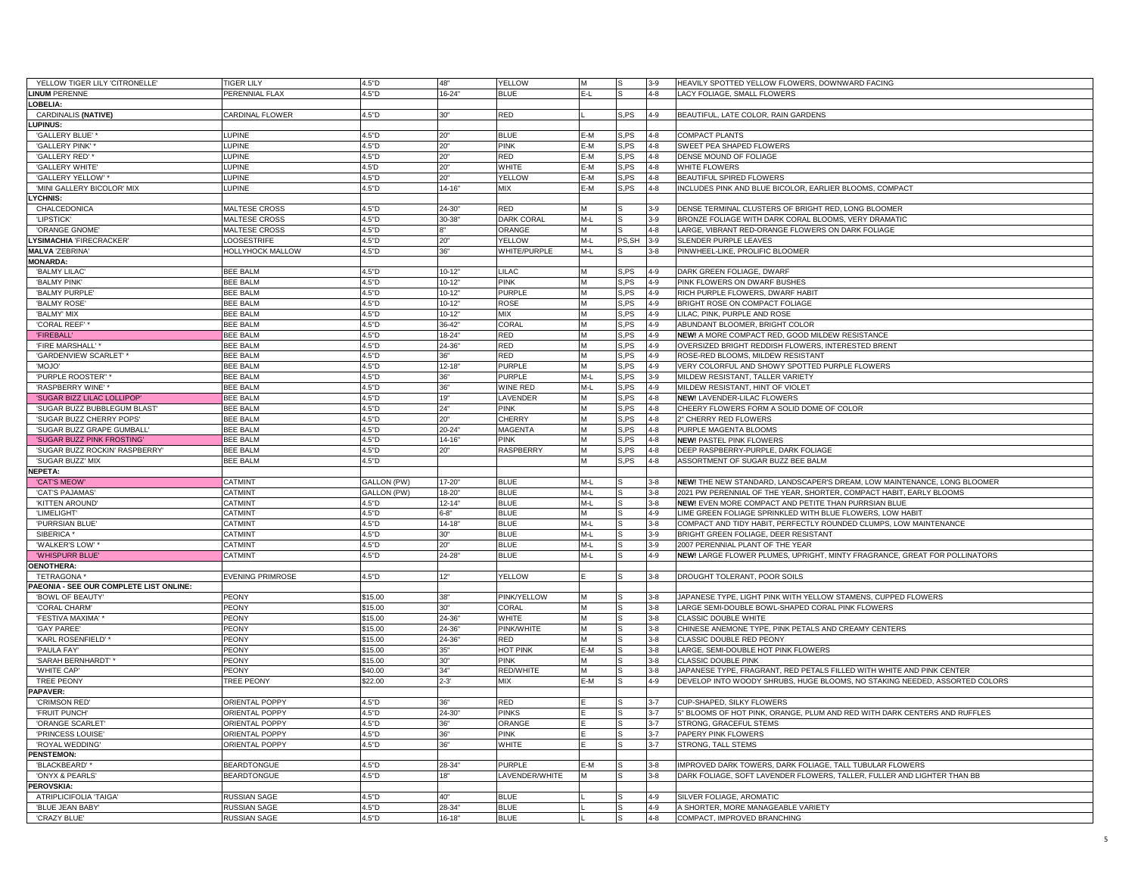| YELLOW TIGER LILY 'CITRONELLE          | <b>TIGER LILY</b>       | 4.5"D       | 48"        | YELLOW            | M              |       | $3 - 9$ | HEAVILY SPOTTED YELLOW FLOWERS, DOWNWARD FACING                            |
|----------------------------------------|-------------------------|-------------|------------|-------------------|----------------|-------|---------|----------------------------------------------------------------------------|
| <b>INUM PERENNE</b>                    | PERENNIAL FLAX          | 4.5"D       | $16 - 24$  | <b>BLUE</b>       | $E-L$          |       | $4 - 8$ | LACY FOLIAGE. SMALL FLOWERS                                                |
| OBELIA:                                |                         |             |            |                   |                |       |         |                                                                            |
| CARDINALIS (NATIVE)                    | CARDINAL FLOWER         | 4.5"D       | 30"        | <b>RED</b>        |                | S,PS  | $4 - 9$ | BEAUTIFUL, LATE COLOR, RAIN GARDENS                                        |
| UPINUS:                                |                         |             |            |                   |                |       |         |                                                                            |
| 'GALLERY BLUE'                         | LUPINE                  | 4.5"D       | 20"        | <b>BLUE</b>       | E-M            | S,PS  | $4 - 8$ | <b>COMPACT PLANTS</b>                                                      |
| 'GALLERY PINK'                         | <b>LUPINE</b>           | 4.5"D       | 20"        | <b>PINK</b>       | E-M            | S,PS  | $4 - 8$ | SWEET PEA SHAPED FLOWERS                                                   |
| 'GALLERY RED'                          | <b>LUPINE</b>           | 4.5"D       | 20"        | <b>RED</b>        | E-M            | S,PS  | $4 - 8$ | DENSE MOUND OF FOLIAGE                                                     |
| 'GALLERY WHITE                         | LUPINE                  | 4.5'D       | 20"        | WHITE             | E-M            | S.PS  | $4 - 8$ | WHITE FLOWERS                                                              |
| 'GALLERY YELLOW'                       | LUPINE                  | 4.5"D       | 20"        | YELLOW            | E-M            | S,PS  | $4 - 8$ | BEAUTIFUL SPIRED FLOWERS                                                   |
| 'MINI GALLERY BICOLOR' MIX             | LUPINE                  | 4.5"D       | $14 - 16"$ | MIX               | E-M            | S.PS  | $4 - 8$ | INCLUDES PINK AND BLUE BICOLOR, EARLIER BLOOMS, COMPACT                    |
| YCHNIS:                                |                         |             |            |                   |                |       |         |                                                                            |
| CHALCEDONICA                           | <b>MALTESE CROSS</b>    | 4.5"D       | $24 - 30"$ | <b>RED</b>        | M              |       | $3-9$   | DENSE TERMINAL CLUSTERS OF BRIGHT RED, LONG BLOOMER                        |
| 'LIPSTICK'                             | <b>MALTESE CROSS</b>    | 4.5"D       | $30 - 38"$ | <b>DARK CORAL</b> | $M-L$          |       | $3-9$   | BRONZE FOLIAGE WITH DARK CORAL BLOOMS, VERY DRAMATIC                       |
| 'ORANGE GNOME                          | <b>MALTESE CROSS</b>    | 4.5"D       |            | ORANGE            | M              |       | $4 - 8$ | LARGE, VIBRANT RED-ORANGE FLOWERS ON DARK FOLIAGE                          |
| YSIMACHIA 'FIRECRACKER'                | <b>LOOSESTRIFE</b>      | 4.5"D       | 20"        | YELLOW            | $M-L$          | PS,SH | $3 - 9$ | <b>SLENDER PURPLE LEAVES</b>                                               |
| <b>MALVA 'ZEBRINA'</b>                 | HOLLYHOCK MALLOW        | 4.5"D       | 36"        | WHITE/PURPLE      | M-L            |       | $3-8$   | PINWHEEL-LIKE, PROLIFIC BLOOMER                                            |
| <b>MONARDA:</b>                        |                         |             |            |                   |                |       |         |                                                                            |
| 'BALMY LILAC                           | <b>BEE BALM</b>         | 4.5"D       | $10-12"$   | <b>LILAC</b>      | M              | S,PS  | $4 - 9$ | DARK GREEN FOLIAGE, DWARF                                                  |
| 'BALMY PINK'                           | <b>BEE BALM</b>         | 4.5"D       | $10 - 12"$ | <b>PINK</b>       | M              | S,PS  | $4 - 9$ | PINK FLOWERS ON DWARF BUSHES                                               |
| <b>BALMY PURPLE</b>                    | <b>BEE BALM</b>         | 4.5"D       | $10 - 12$  | <b>PURPLE</b>     | M              | S.PS  | $4 - 9$ | RICH PURPLE FLOWERS, DWARF HABIT                                           |
| 'BALMY ROSE'                           | <b>BEE BALM</b>         | 4.5"D       | $10 - 12"$ | ROSE              | M              | S,PS  | $4 - 9$ | BRIGHT ROSE ON COMPACT FOLIAGE                                             |
| 'BALMY' MIX                            | <b>BEE BALM</b>         | 4.5"D       | $10-12$    | <b>MIX</b>        | M              | S,PS  | $4 - 9$ | LILAC, PINK, PURPLE AND ROSE                                               |
| 'CORAL REEF'                           | <b>BEE BALM</b>         | 4.5"D       | $36 - 42"$ | CORAL             | M              | S.PS  | $4 - 9$ | ABUNDANT BLOOMER, BRIGHT COLOR                                             |
| 'FIREBALL'                             | <b>BEE BALM</b>         | 4.5"D       | $18 - 24$  | RED               | M              | i,PS  | $4 - 9$ | NEW! A MORE COMPACT RED, GOOD MILDEW RESISTANCE                            |
| 'FIRE MARSHALL'                        | <b>BEE BALM</b>         | 4.5"D       | 24-36"     | RED               | M              | S,PS  | 4-9     | OVERSIZED BRIGHT REDDISH FLOWERS, INTERESTED BRENT                         |
| 'GARDENVIEW SCARLET'                   | <b>BEE BALM</b>         | 4.5"D       | 36"        | <b>RED</b>        | M              | S.PS  | $4 - 9$ | ROSE-RED BLOOMS, MILDEW RESISTANT                                          |
| 'MOJO'                                 | <b>BEE BALM</b>         | 4.5"D       | $12 - 18$  | <b>PURPLE</b>     | M              | S.PS  | $4 - 9$ | VERY COLORFUL AND SHOWY SPOTTED PURPLE FLOWERS                             |
| 'PURPLE ROOSTER"                       | <b>BEE BALM</b>         | 4.5"D       | 36"        | <b>PURPLE</b>     | M-L            | S, PS | $3 - 9$ | MILDEW RESISTANT, TALLER VARIETY                                           |
| 'RASPBERRY WINE'                       | <b>BEE BALM</b>         | 4.5"D       | 36"        | <b>WINE RED</b>   | M-L            | S,PS  | $4 - 9$ | MILDEW RESISTANT, HINT OF VIOLET                                           |
| 'SUGAR BIZZ LILAC LOLLIPOP'            | <b>BEE BALM</b>         | 4.5"D       | 19"        | LAVENDER          | M              | S.PS  | $4 - 8$ | <b>NEW! LAVENDER-LILAC FLOWERS</b>                                         |
| 'SUGAR BUZZ BUBBLEGUM BLAST            | <b>BEE BALM</b>         | 4.5"D       | 24"        | <b>PINK</b>       | M              | S, PS | $4 - 8$ | CHEERY FLOWERS FORM A SOLID DOME OF COLOR                                  |
| 'SUGAR BUZZ CHERRY POPS                | <b>BEE BALM</b>         | 4.5"D       | 20"        | <b>CHERRY</b>     | M              | S, PS | $4 - 8$ | 2" CHERRY RED FLOWERS                                                      |
| 'SUGAR BUZZ GRAPE GUMBALL'             | <b>BEE BALM</b>         | 4.5"D       | $20 - 24"$ | <b>MAGENTA</b>    | M              | S,PS  | $4 - 8$ | PURPLE MAGENTA BLOOMS                                                      |
| 'SUGAR BUZZ PINK FROSTING'             | <b>BEE BALM</b>         | 4.5"D       | $14 - 16$  | <b>PINK</b>       | M              | S,PS  | $4 - 8$ | <b>NEW! PASTEL PINK FLOWERS</b>                                            |
| 'SUGAR BUZZ ROCKIN' RASPBERRY          | <b>BEE BALM</b>         | 4.5"D       | 20"        | <b>RASPBERRY</b>  | M              | S,PS  | $4 - 8$ | DEEP RASPBERRY-PURPLE, DARK FOLIAGE                                        |
| 'SUGAR BUZZ' MIX                       | <b>BEE BALM</b>         | 4.5"D       |            |                   | M              | S,PS  | $4 - 8$ | ASSORTMENT OF SUGAR BUZZ BEE BALM                                          |
| <b>IEPETA:</b>                         |                         |             |            |                   |                |       |         |                                                                            |
| <b>'CAT'S MEOW</b>                     | CATMINT                 | GALLON (PW) | $17 - 20$  | <b>BLUE</b>       | M-L            |       | $3 - 8$ | NEW! THE NEW STANDARD, LANDSCAPER'S DREAM, LOW MAINTENANCE, LONG BLOOMER   |
| 'CAT'S PAJAMAS                         | CATMINT                 | GALLON (PW) | 18-20      | <b>BLUE</b>       | M-L            |       | $3 - 8$ | 2021 PW PERENNIAL OF THE YEAR, SHORTER, COMPACT HABIT, EARLY BLOOMS        |
| 'KITTEN AROUND                         | CATMINT                 | 4.5"D       | $12 - 14"$ | <b>BLUE</b>       | M-L            |       | $3 - 8$ | NEW! EVEN MORE COMPACT AND PETITE THAN PURRSIAN BLUE                       |
| 'LIMELIGHT'                            | <b>CATMINT</b>          | 4.5"D       | $6 - 8$    | <b>BLUE</b>       | M              |       | $4 - 9$ | LIME GREEN FOLIAGE SPRINKLED WITH BLUE FLOWERS, LOW HABIT                  |
| 'PURRSIAN BLUE'                        | CATMINT                 | 4.5"D       | $14 - 18$  | <b>BLUE</b>       | $M-L$          |       | $3-8$   | COMPACT AND TIDY HABIT, PERFECTLY ROUNDED CLUMPS, LOW MAINTENANCE          |
| SIBERICA <sup>*</sup>                  | <b>CATMINT</b>          | 4.5"D       | 30"        | <b>BLUE</b>       | $M-L$          |       | $3-9$   | BRIGHT GREEN FOLIAGE, DEER RESISTANT                                       |
| 'WALKER'S LOW'                         | CATMINT                 | 4.5"D       | ንባ"        | <b>BLUE</b>       | M-L            |       | $3-9$   | 2007 PERENNIAL PLANT OF THE YEAR                                           |
| <b>'WHISPURR BLUE</b>                  | CATMINT                 | 4.5"D       | $24 - 28$  | <b>BLUE</b>       | $M-I$          |       | 4-9     | NEW! LARGE FLOWER PLUMES, UPRIGHT, MINTY FRAGRANCE, GREAT FOR POLLINATORS  |
| <b>OENOTHERA:</b>                      |                         |             |            |                   |                |       |         |                                                                            |
| <b>TETRAGONA</b>                       | <b>EVENING PRIMROSE</b> | 4.5"D       | 12"        | YELLOW            |                |       | $3 - 8$ | DROUGHT TOLERANT, POOR SOILS                                               |
| AEONIA - SEE OUR COMPLETE LIST ONLINE: |                         |             |            |                   |                |       |         |                                                                            |
| 'BOWL OF BEAUTY'                       | <b>PEONY</b>            | \$15.00     | 38"        | PINK/YELLOW       | M              |       | $3 - 8$ | JAPANESE TYPE, LIGHT PINK WITH YELLOW STAMENS, CUPPED FLOWERS              |
| 'CORAL CHARM'                          | PEONY                   | \$15.00     | 30"        | CORAL             | M              |       | $3 - 8$ | LARGE SEMI-DOUBLE BOWL-SHAPED CORAL PINK FLOWERS                           |
| 'FESTIVA MAXIMA'                       | <b>PEONY</b>            | \$15.00     | 24-36'     | WHITE             | M              |       | $3 - 8$ | CLASSIC DOUBLE WHITE                                                       |
| 'GAY PAREE'                            | <b>PEONY</b>            | \$15.00     | 24-36"     | <b>PINK/WHITE</b> | M              |       | $3 - 8$ | CHINESE ANEMONE TYPE, PINK PETALS AND CREAMY CENTERS                       |
| 'KARL ROSENFIELD'                      | <b>PEONY</b>            | \$15.00     | 24-36"     | RED               | M              |       | $3 - 8$ | CLASSIC DOUBLE RED PEONY                                                   |
| 'PAULA FAY'                            | PEONY                   | \$15.00     | 15"        | HOT PINK          | E-M            |       | $3 - 8$ | LARGE, SEMI-DOUBLE HOT PINK FLOWERS                                        |
| 'SARAH BERNHARDT'                      | PEONY                   | \$15.00     | הי         | <b>PINK</b>       | M              |       | $3 - 8$ | CLASSIC DOUBLE PINK                                                        |
| 'WHITE CAP'                            | PEONY                   | \$40.00     | 34"        | RED/WHITE         | M              |       | $3 - 8$ | JAPANESE TYPE, FRAGRANT, RED PETALS FILLED WITH WHITE AND PINK CENTER      |
| <b>TREE PEONY</b>                      | TREE PEONY              | \$22.00     | $2 - 3'$   | MIX               | E-M            |       | $4 - 9$ | DEVELOP INTO WOODY SHRUBS, HUGE BLOOMS, NO STAKING NEEDED, ASSORTED COLORS |
| APAVER:                                |                         |             |            |                   |                |       |         |                                                                            |
| 'CRIMSON RED'                          | <b>ORIENTAL POPPY</b>   | 4.5"D       | 36"        | <b>RED</b>        |                |       | $3 - 7$ | CUP-SHAPED. SILKY FLOWERS                                                  |
| <b>'FRUIT PUNCH'</b>                   | <b>ORIENTAL POPPY</b>   | 4.5"D       | $24 - 30'$ | <b>PINKS</b>      |                |       | $3 - 7$ | 5" BLOOMS OF HOT PINK, ORANGE, PLUM AND RED WITH DARK CENTERS AND RUFFLES  |
| 'ORANGE SCARLET                        | ORIENTAL POPPY          | 4.5"D       | 36"        | ORANGE            |                |       | $3 - 7$ | STRONG, GRACEFUL STEMS                                                     |
| 'PRINCESS LOUISE'                      | ORIENTAL POPPY          | 4.5"D       | 36"        | <b>PINK</b>       | $\blacksquare$ |       | $3 - 7$ | PAPERY PINK FLOWERS                                                        |
| 'ROYAL WEDDING'                        | ORIENTAL POPPY          | 4.5"D       | 36"        | WHITE             |                |       | $3 - 7$ | STRONG, TALL STEMS                                                         |
| <b>PENSTEMON:</b>                      |                         |             |            |                   |                |       |         |                                                                            |
| 'BLACKBEARD'                           | <b>BEARDTONGUE</b>      | 4.5"D       | 28-34      | PURPLE            | E-M            |       | $3-8$   | IMPROVED DARK TOWERS, DARK FOLIAGE, TALL TUBULAR FLOWERS                   |
| 'ONYX & PEARLS'                        | <b>BEARDTONGUE</b>      | 4.5"D       | 18"        | LAVENDER/WHITE    | M              |       | $3 - 8$ | DARK FOLIAGE, SOFT LAVENDER FLOWERS, TALLER, FULLER AND LIGHTER THAN BB    |
| PEROVSKIA:                             |                         |             |            |                   |                |       |         |                                                                            |
| ATRIPLICIFOLIA 'TAIGA'                 | <b>RUSSIAN SAGE</b>     | 4.5"D       | 40"        | <b>BLUE</b>       |                |       | $4 - 9$ | SILVER FOLIAGE, AROMATIC                                                   |
| 'BLUE JEAN BABY'                       | <b>RUSSIAN SAGE</b>     | 4.5"D       | 28-34      | <b>BLUE</b>       |                |       | $4 - 9$ | A SHORTER, MORE MANAGEABLE VARIETY                                         |
| 'CRAZY BLUE'                           | <b>RUSSIAN SAGE</b>     | 4.5"D       | $16 - 18$  | <b>BLUE</b>       |                | l.S   | $4 - 8$ | COMPACT, IMPROVED BRANCHING                                                |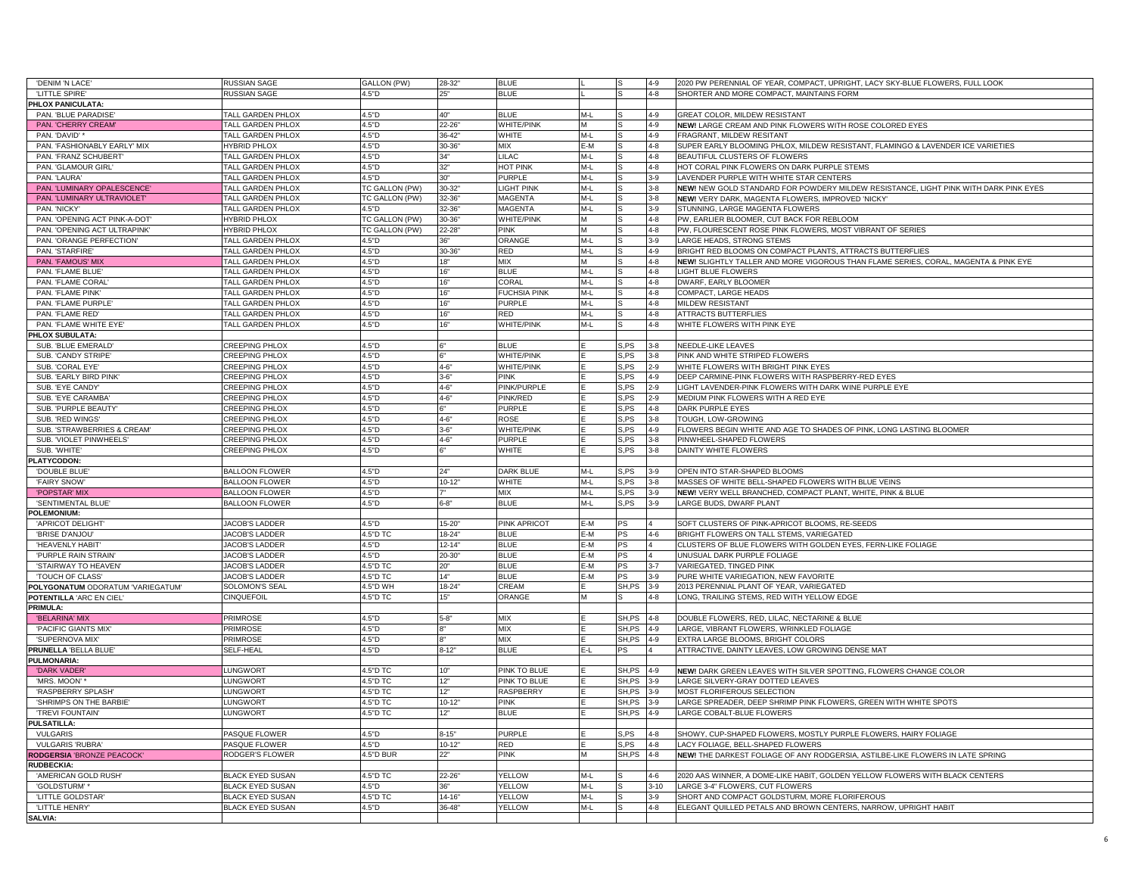| 'DENIM 'N LACE'                   | <b>RUSSIAN SAGE</b>      | GALLON (PW)    | 28-32"     | <b>BLUE</b>         |       |                     | $4 - 9$  | 2020 PW PERENNIAL OF YEAR, COMPACT, UPRIGHT, LACY SKY-BLUE FLOWERS, FULL LOOK        |
|-----------------------------------|--------------------------|----------------|------------|---------------------|-------|---------------------|----------|--------------------------------------------------------------------------------------|
| 'LITTLE SPIRE'                    | <b>RUSSIAN SAGE</b>      | 4.5"D          | 25"        | <b>BLUE</b>         |       |                     | $4 - 8$  | SHORTER AND MORE COMPACT. MAINTAINS FORM                                             |
| PHLOX PANICULATA:                 |                          |                |            |                     |       |                     |          |                                                                                      |
| PAN. 'BLUE PARADISE'              | <b>TALL GARDEN PHLOX</b> | 4.5"D          | 40"        | <b>BLUE</b>         | $M-L$ |                     | $4 - 9$  | GREAT COLOR, MILDEW RESISTANT                                                        |
| PAN. 'CHERRY CREAM'               | <b>TALL GARDEN PHLOX</b> | 4.5"D          | 22-26      | <b>WHITE/PINK</b>   |       |                     | $4 - 9$  | NEW! LARGE CREAM AND PINK FLOWERS WITH ROSE COLORED EYES                             |
| PAN. 'DAVID'                      | TALL GARDEN PHLOX        | 4.5"D          | $36 - 42'$ | WHITE               | $M-I$ |                     | $4 - 9$  | FRAGRANT, MILDEW RESITANT                                                            |
| PAN. 'FASHIONABLY EARLY' MIX      | <b>IYBRID PHLOX</b>      | 4.5"D          | 30-36      | <b>MIX</b>          | :-M   |                     | $4 - 8$  | SUPER EARLY BLOOMING PHLOX, MILDEW RESISTANT, FLAMINGO & LAVENDER ICE VARIETIES      |
| PAN. 'FRANZ SCHUBERT'             | TALL GARDEN PHLOX        | 4.5"D          | 34"        | LILAC               | M-L   |                     | $4 - 8$  | BEAUTIFUL CLUSTERS OF FLOWERS                                                        |
|                                   |                          |                |            |                     |       |                     |          |                                                                                      |
| PAN. 'GLAMOUR GIRL'               | TALL GARDEN PHLOX        | 4.5"D          | 32"        | HOT PINK            | $M-L$ |                     | $4 - 8$  | HOT CORAL PINK FLOWERS ON DARK PURPLE STEMS                                          |
| PAN. 'LAURA'                      | TALL GARDEN PHLOX        | 4.5"D          | 30"        | <b>PURPLE</b>       | $M-I$ |                     | $3 - 9$  | LAVENDER PURPLE WITH WHITE STAR CENTERS                                              |
| PAN. 'LUMINARY OPALESCENCE'       | TALL GARDEN PHLOX        | TC GALLON (PW) | 30-32      | LIGHT PINK          | $M-I$ |                     | $3 - 8$  | NEW! NEW GOLD STANDARD FOR POWDERY MILDEW RESISTANCE, LIGHT PINK WITH DARK PINK EYES |
| PAN. 'LUMINARY ULTRAVIOLET'       | TALL GARDEN PHLOX        | TC GALLON (PW) | 32-36      | <b>MAGENTA</b>      | M-L   |                     | $3 - 8$  | NEW! VERY DARK, MAGENTA FLOWERS, IMPROVED 'NICKY'                                    |
| PAN, 'NICKY'                      | TALL GARDEN PHLOX        | 4.5"D          | 32-36      | <b>MAGENTA</b>      | $M-L$ |                     | $3 - 9$  | STUNNING, LARGE MAGENTA FLOWERS                                                      |
| PAN. 'OPENING ACT PINK-A-DOT'     | <b>HYBRID PHLOX</b>      | TC GALLON (PW) | 30-36      | <b>WHITE/PINK</b>   |       |                     | $4 - 8$  | PW, EARLIER BLOOMER, CUT BACK FOR REBLOOM                                            |
| PAN. 'OPENING ACT ULTRAPINK'      | <b>IYBRID PHLOX</b>      | TC GALLON (PW) | $22 - 28"$ | <b>PINK</b>         | M     |                     | $4 - 8$  | PW, FLOURESCENT ROSE PINK FLOWERS, MOST VIBRANT OF SERIES                            |
| PAN. 'ORANGE PERFECTION'          | TALL GARDEN PHLOX        | 4.5"D          | 36"        | ORANGE              | $M-L$ |                     | $3 - 9$  | LARGE HEADS, STRONG STEMS                                                            |
| PAN. 'STARFIRE'                   | <b>TALL GARDEN PHLOX</b> | 4.5"D          | 30-36      | <b>RED</b>          | $M-L$ |                     | $4 - 9$  | BRIGHT RED BLOOMS ON COMPACT PLANTS, ATTRACTS BUTTERFLIES                            |
| PAN. 'FAMOUS' MIX                 | TALL GARDEN PHLOX        | 4.5"D          | 18"        | <b>MIX</b>          | M     |                     | $4 - 8$  | NEW! SLIGHTLY TALLER AND MORE VIGOROUS THAN FLAME SERIES, CORAL, MAGENTA & PINK EYE  |
| PAN. 'FLAME BLUE'                 | TALL GARDEN PHLOX        | 4.5"D          | 16"        | <b>BLUE</b>         | $M-I$ |                     | $4 - 8$  | LIGHT BLUE FLOWERS                                                                   |
| PAN. 'FLAME CORAL                 | <b>TALL GARDEN PHLOX</b> | 4.5"D          | 16"        | CORAL               | $M-L$ |                     | $4 - 8$  | DWARF, EARLY BLOOMER                                                                 |
| PAN. 'FLAME PINK'                 | <b>TALL GARDEN PHLOX</b> | 4.5"D          | 16"        | <b>FUCHSIA PINK</b> | $M-L$ |                     | $4 - 8$  | COMPACT, LARGE HEADS                                                                 |
| PAN. 'FLAME PURPLE                | TALL GARDEN PHLOX        | 4.5"D          | 16"        | <b>PURPLE</b>       | $M-L$ |                     | $4 - 8$  | MILDEW RESISTANT                                                                     |
| PAN. 'FLAME RED'                  | TALL GARDEN PHLOX        | 4.5"D          | 16"        | <b>RED</b>          | M-L   |                     | $4 - 8$  | <b>ATTRACTS BUTTERFLIES</b>                                                          |
| PAN. 'FLAME WHITE EYE'            | TALL GARDEN PHLOX        | 4.5"D          | 16"        | <b>WHITE/PINK</b>   | $M-I$ |                     | $4 - 8$  | WHITE FLOWERS WITH PINK EYE                                                          |
| PHLOX SUBULATA:                   |                          |                |            |                     |       |                     |          |                                                                                      |
| SUB. 'BLUE EMERALD'               | CREEPING PHLOX           | 4.5"D          |            | <b>BLUE</b>         |       | S,PS                | $3 - 8$  | NEEDLE-LIKE LEAVES                                                                   |
| SUB. 'CANDY STRIPE'               | <b>CREEPING PHLOX</b>    | 4.5"D          |            | WHITE/PINK          |       | S.PS                | $3 - 8$  | PINK AND WHITE STRIPED FLOWERS                                                       |
| SUB. 'CORAL EYE'                  | <b>CREEPING PHLOX</b>    | 4.5"D          | $4 - 6"$   | WHITE/PINK          |       | S,PS                | $2 - 9$  | WHITE FLOWERS WITH BRIGHT PINK EYES                                                  |
| SUB. 'EARLY BIRD PINK             | CREEPING PHLOX           | 4.5"D          | $3 - 6'$   | <b>PINK</b>         |       | S.PS                | $4 - 9$  | DEEP CARMINE-PINK FLOWERS WITH RASPBERRY-RED EYES                                    |
| SUB. 'EYE CANDY'                  | CREEPING PHLOX           | 4.5"D          | $4 - 6"$   | PINK/PURPLE         |       | S,PS                | $2 - 9$  | LIGHT LAVENDER-PINK FLOWERS WITH DARK WINE PURPLE EYE                                |
|                                   |                          |                |            |                     |       |                     |          |                                                                                      |
| SUB. 'EYE CARAMBA                 | CREEPING PHLOX           | 4.5"D          | $4 - 6"$   | PINK/RED            |       | S,PS                | $2 - 9$  | MEDIUM PINK FLOWERS WITH A RED EYE                                                   |
| SUB. 'PURPLE BEAUTY'              | <b>REEPING PHLOX</b>     | 4.5"D          |            | PURPLE              |       | S,PS                | $4 - 8$  | DARK PURPLE EYES                                                                     |
| SUB. 'RED WINGS'                  | <b>CREEPING PHLOX</b>    | 4.5"D          | $4 - 6"$   | <b>ROSE</b>         |       | S.PS                | $3 - 8$  | TOUGH, LOW-GROWING                                                                   |
| SUB. 'STRAWBERRIES & CREAM'       | CREEPING PHLOX           | 4.5"D          | $3 - 6"$   | <b>WHITE/PINK</b>   |       | S, PS               | $4 - 9$  | FLOWERS BEGIN WHITE AND AGE TO SHADES OF PINK, LONG LASTING BLOOMER                  |
| SUB. 'VIOLET PINWHEELS'           | REEPING PHLOX            | 4.5"D          | $4 - 6"$   | PURPLE              |       | S,PS                | $3 - 8$  | PINWHEEL-SHAPED FLOWERS                                                              |
| SUB. WHITE                        | <b>CREEPING PHLOX</b>    | 4.5"D          |            | WHITE               |       | S.PS                | $3 - 8$  | DAINTY WHITE FLOWERS                                                                 |
| <b>PLATYCODON:</b>                |                          |                |            |                     |       |                     |          |                                                                                      |
| 'DOUBLE BLUE                      | <b>BALLOON FLOWER</b>    | 4.5"D          | 24"        | <b>DARK BLUE</b>    | M-L   | S.PS                | $3-9$    | OPEN INTO STAR-SHAPED BLOOMS                                                         |
| 'FAIRY SNOW                       | <b>BALLOON FLOWER</b>    | 4.5"D          | $10 - 12"$ | WHITE               | $M-L$ | S,PS                | $3 - 8$  | MASSES OF WHITE BELL-SHAPED FLOWERS WITH BLUE VEINS                                  |
| 'POPSTAR' MIX                     | <b>BALLOON FLOWER</b>    | 4.5"D          |            | <b>MIX</b>          | $M-L$ | S.PS                | $3 - 9$  | NEW! VERY WELL BRANCHED, COMPACT PLANT, WHITE, PINK & BLUE                           |
| 'SENTIMENTAL BLUE'                | <b>BALLOON FLOWER</b>    | 4.5"D          | $6 - 8"$   | <b>BLUE</b>         | $M-L$ | S.PS                | $3 - 9$  | LARGE BUDS, DWARF PLANT                                                              |
| POLEMONIUM:                       |                          |                |            |                     |       |                     |          |                                                                                      |
| 'APRICOT DELIGHT'                 | <b>JACOB'S LADDER</b>    | 4.5"D          | $15 - 20$  | <b>PINK APRICOT</b> | E-M   | PS                  |          | SOFT CLUSTERS OF PINK-APRICOT BLOOMS, RE-SEEDS                                       |
| 'BRISE D'ANJOU'                   | <b>JACOB'S LADDER</b>    | 4.5"D TC       | $18 - 24$  | <b>BLUE</b>         | E-M   | PS                  | $4 - 6$  | BRIGHT FLOWERS ON TALL STEMS, VARIEGATED                                             |
| 'HEAVENLY HABIT'                  | <b>JACOB'S LADDER</b>    | 4.5"D          | $12 - 14"$ | <b>BLUE</b>         | E-M   | <b>PS</b>           |          | CLUSTERS OF BLUE FLOWERS WITH GOLDEN EYES, FERN-LIKE FOLIAGE                         |
| 'PURPLE RAIN STRAIN               | <b>JACOB'S LADDER</b>    | 4.5"D          | $20 - 30"$ | <b>BLUE</b>         | M-    | PS                  |          | UNUSUAL DARK PURPLE FOLIAGE                                                          |
| 'STAIRWAY TO HEAVEN'              | <b>JACOB'S LADDER</b>    | 4.5"D TC       | ንበ"        | <b>BLUE</b>         | -M    | PS                  | $3 - 7$  | VARIEGATED, TINGED PINK                                                              |
| <b>TOUCH OF CLASS</b>             | <b>JACOB'S LADDER</b>    | 4.5"D TC       | 14"        | <b>BLUE</b>         | :-M   | $_{\mathsf{PS}}$    | $3 - 9$  | PURE WHITE VARIEGATION, NEW FAVORITE                                                 |
| POLYGONATUM ODORATUM 'VARIEGATUM' | SOLOMON'S SEAL           | 4.5"D WH       | $18 - 24"$ | CREAM               |       | SH,PS               | $3-9$    | 2013 PERENNIAL PLANT OF YEAR, VARIEGATED                                             |
| POTENTILLA 'ARC EN CIEL'          | CINQUEFOIL               | 4.5"D TC       | 15"        | ORANGE              | M     |                     | $4 - 8$  | LONG, TRAILING STEMS, RED WITH YELLOW EDGE                                           |
| PRIMULA:                          |                          |                |            |                     |       |                     |          |                                                                                      |
| 'BELARINA' MIX                    | PRIMROSE                 | 4.5"D          | $5 - 8"$   | MIX                 |       | SH, PS 4-8          |          | DOUBLE FLOWERS, RED, LILAC, NECTARINE & BLUE                                         |
| 'PACIFIC GIANTS MIX'              | <b>PRIMROSE</b>          | 4.5"D          |            | <b>MIX</b>          |       | SH, PS 4-9          |          | LARGE, VIBRANT FLOWERS, WRINKLED FOLIAGE                                             |
| 'SUPERNOVA MIX'                   | <b>RIMROSE</b>           | 4.5"D          |            | <b>MIX</b>          |       | SH, PS 4-9          |          | EXTRA LARGE BLOOMS, BRIGHT COLORS                                                    |
| PRUNELLA 'BELLA BLUE'             | SELF-HEAL                | 4.5"D          | $8 - 12"$  | <b>BLUE</b>         | E-L   | PS                  |          | ATTRACTIVE, DAINTY LEAVES, LOW GROWING DENSE MAT                                     |
| PULMONARIA:                       |                          |                |            |                     |       |                     |          |                                                                                      |
| 'DARK VADER'                      | <b>LUNGWORT</b>          | 4.5"D TC       | 10"        | <b>PINK TO BLUE</b> |       | SH, PS              | $4 - 9$  | NEW! DARK GREEN LEAVES WITH SILVER SPOTTING, FLOWERS CHANGE COLOR                    |
|                                   |                          |                |            | PINK TO BLUE        |       |                     |          |                                                                                      |
| 'MRS. MOON' *                     | LUNGWORT                 | 4.5"D TC       | 12"        | <b>RASPBERRY</b>    |       | SH, PS 3-9<br>SH.PS |          | LARGE SILVERY-GRAY DOTTED LEAVES                                                     |
| 'RASPBERRY SPLASH                 | LUNGWORT                 | 4.5"D TC       | 12"        |                     |       |                     | $3-9$    | MOST FLORIFEROUS SELECTION                                                           |
| 'SHRIMPS ON THE BARBIE'           | LUNGWORT                 | 4.5"D TC       | $10 - 12"$ | <b>PINK</b>         |       | SH.PS               | $3 - 9$  | LARGE SPREADER, DEEP SHRIMP PINK FLOWERS, GREEN WITH WHITE SPOTS                     |
| 'TREVI FOUNTAIN'                  | LUNGWORT                 | 4.5"D TC       | 12"        | <b>BLUE</b>         |       | SH,PS               | $4 - 9$  | LARGE COBALT-BLUE FLOWERS                                                            |
| <b>PULSATILLA:</b>                |                          |                |            |                     |       |                     |          |                                                                                      |
| <b>VULGARIS</b>                   | PASQUE FLOWER            | 4.5"D          | $8 - 15"$  | <b>PURPLE</b>       |       | S.PS                | $4 - 8$  | SHOWY, CUP-SHAPED FLOWERS, MOSTLY PURPLE FLOWERS, HAIRY FOLIAGE                      |
| <b>VULGARIS 'RUBRA'</b>           | ASQUE FLOWER             | 4.5"D          | $10 - 12$  | <b>RED</b>          |       | S.PS                | $4 - 8$  | LACY FOLIAGE, BELL-SHAPED FLOWERS                                                    |
| RODGERSIA 'BRONZE PEACOCK'        | RODGER'S FLOWER          | 4.5"D BUR      | 22"        | <b>PINK</b>         | M     | SH, PS 4-8          |          | NEW! THE DARKEST FOLIAGE OF ANY RODGERSIA, ASTILBE-LIKE FLOWERS IN LATE SPRING       |
| RUDBECKIA:                        |                          |                |            |                     |       |                     |          |                                                                                      |
| 'AMERICAN GOLD RUSH'              | <b>BLACK EYED SUSAN</b>  | 4.5"D TC       | $22 - 26'$ | YELLOW              | M-L   |                     | 4-6      | 2020 AAS WINNER, A DOME-LIKE HABIT, GOLDEN YELLOW FLOWERS WITH BLACK CENTERS         |
| 'GOLDSTURM'                       | <b>BLACK EYED SUSAN</b>  | 4.5"D          | 36"        | YELLOW              | M-L   |                     | $3 - 10$ | LARGE 3-4" FLOWERS, CUT FLOWERS                                                      |
| 'LITTLE GOLDSTAR'                 | <b>BLACK EYED SUSAN</b>  | 4.5"D TC       | $14 - 16'$ | YELLOW              | M-L   |                     | $3 - 9$  | SHORT AND COMPACT GOLDSTURM, MORE FLORIFEROUS                                        |
|                                   |                          |                |            |                     |       |                     |          |                                                                                      |
| 'LITTLE HENRY'<br>SALVIA:         | <b>BLACK EYED SUSAN</b>  | 4.5"D          | 36-48      | YELLOW              | $M-L$ |                     | $4 - 8$  | ELEGANT QUILLED PETALS AND BROWN CENTERS, NARROW, UPRIGHT HABIT                      |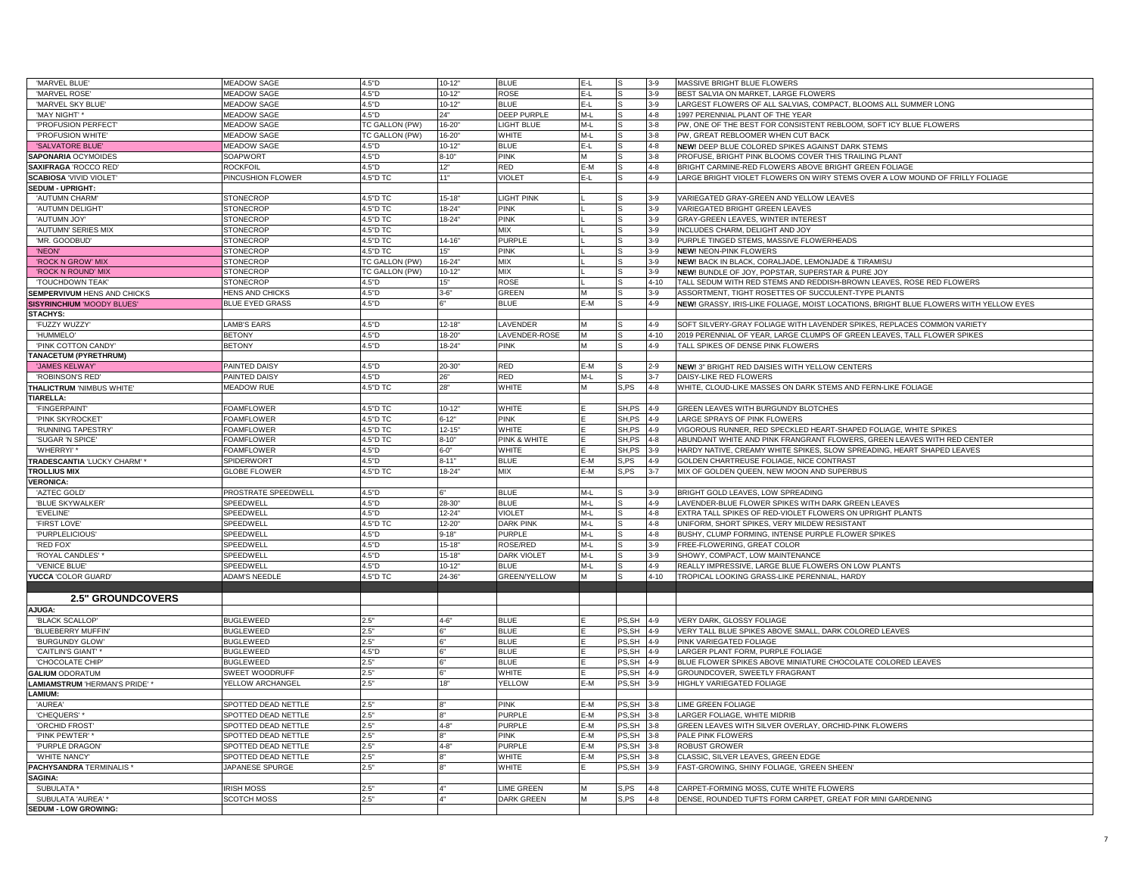| 'MARVEL BLUE'                     | <b>MEADOW SAGE</b>         | 4.5"D          | $10 - 12"$ | <b>BLUE</b>         | E-L   | S      | $3 - 9$  | MASSIVE BRIGHT BLUE FLOWERS                                                           |
|-----------------------------------|----------------------------|----------------|------------|---------------------|-------|--------|----------|---------------------------------------------------------------------------------------|
| 'MARVEL ROSE'                     | <b>MEADOW SAGE</b>         | 4.5"D          | $10 - 12"$ | <b>ROSE</b>         | E-L   |        | $3-9$    | BEST SALVIA ON MARKET, LARGE FLOWERS                                                  |
| 'MARVEL SKY BLUE'                 | <b>MEADOW SAGE</b>         | 4.5"D          | $10 - 12"$ | <b>BLUE</b>         | E-L   |        | $3-9$    | LARGEST FLOWERS OF ALL SALVIAS, COMPACT, BLOOMS ALL SUMMER LONG                       |
| 'MAY NIGHT'                       | <b>MEADOW SAGE</b>         | 4.5"D          | 24"        | DEEP PURPLE         | M-L   |        | $4 - 8$  | 1997 PERENNIAL PLANT OF THE YEAR                                                      |
| 'PROFUSION PERFECT'               | MEADOW SAGE                | TC GALLON (PW) | $16 - 20'$ | LIGHT BLUE          | M-L   |        | $3 - 8$  | PW, ONE OF THE BEST FOR CONSISTENT REBLOOM, SOFT ICY BLUE FLOWERS                     |
| 'PROFUSION WHITE'                 | <b>MEADOW SAGE</b>         | TC GALLON (PW) | 16-20      | <b>WHITE</b>        | M-L   |        | $3 - 8$  | PW, GREAT REBLOOMER WHEN CUT BACK                                                     |
| 'SALVATORE BLUE                   | <b>JEADOW SAGE</b>         | 4.5"D          | $10 - 12"$ | <b>BLUE</b>         | E-L   |        | $4 - 8$  | NEW! DEEP BLUE COLORED SPIKES AGAINST DARK STEMS                                      |
|                                   |                            |                |            |                     |       |        |          |                                                                                       |
| SAPONARIA OCYMOIDES               | <b>SOAPWORT</b>            | 4.5"D          | $8 - 10"$  | PINK                |       |        | $3 - 8$  | PROFUSE, BRIGHT PINK BLOOMS COVER THIS TRAILING PLANT                                 |
| <b>SAXIFRAGA 'ROCCO RED'</b>      | <b>ROCKFOIL</b>            | 4.5"D          | 12"        | RED                 | E-M   |        | $4 - 8$  | BRIGHT CARMINE-RED FLOWERS ABOVE BRIGHT GREEN FOLIAGE                                 |
| <b>SCABIOSA 'VIVID VIOLET'</b>    | PINCUSHION FLOWER          | 4.5"D TC       | 11"        | <b>VIOLET</b>       | E-L   |        | 4-9      | LARGE BRIGHT VIOLET FLOWERS ON WIRY STEMS OVER A LOW MOUND OF FRILLY FOLIAGE          |
| SEDUM - UPRIGHT:                  |                            |                |            |                     |       |        |          |                                                                                       |
| 'AUTUMN CHARM                     | TONECROP                   | 4.5"D TC       | $15 - 18$  | <b>IGHT PINK</b>    |       |        | $3-9$    | VARIEGATED GRAY-GREEN AND YELLOW LEAVES                                               |
|                                   |                            |                | $18 - 24$  |                     |       |        |          |                                                                                       |
| 'AUTUMN DELIGHT                   | <b>STONECROP</b>           | 4.5"D TC       |            | <b>PINK</b>         |       |        | $3-9$    | VARIEGATED BRIGHT GREEN LEAVES                                                        |
| 'AUTUMN JOY                       | <b>STONECROF</b>           | 4.5"D TC       | $18 - 24"$ | PINK                |       |        | $3-9$    | GRAY-GREEN LEAVES, WINTER INTEREST                                                    |
| 'AUTUMN' SERIES MIX               | <b>STONECROP</b>           | 4.5"D TC       |            | MIX                 |       |        | $3-9$    | INCLUDES CHARM, DELIGHT AND JOY                                                       |
| 'MR. GOODBUD'                     | <b>STONECROP</b>           | 4.5"D TC       | $14 - 16"$ | <b>PURPLE</b>       |       |        | $3-9$    | PURPLE TINGED STEMS, MASSIVE FLOWERHEADS                                              |
| 'NEON'                            | <b>STONECROF</b>           | 4.5"D TC       | 15"        | <b>PINK</b>         |       |        | $3-9$    | <b>NEW! NEON-PINK FLOWERS</b>                                                         |
| 'ROCK N GROW' MIX                 | <b>STONECROF</b>           | TC GALLON (PW) | $16 - 24$  | <b>MIX</b>          |       |        | $3-9$    | NEW! BACK IN BLACK, CORALJADE, LEMONJADE & TIRAMISU                                   |
|                                   |                            |                |            |                     |       |        |          |                                                                                       |
| 'ROCK N ROUND' MIX                | <b>STONECROP</b>           | TC GALLON (PW) | $10-12$    | <b>MIX</b>          |       |        | $3-9$    | NEW! BUNDLE OF JOY, POPSTAR, SUPERSTAR & PURE JOY                                     |
| 'TOUCHDOWN TEAK'                  | <b>STONECROP</b>           | 4.5"D          | 15"        | ROSE                |       |        | $4 - 10$ | TALL SEDUM WITH RED STEMS AND REDDISH-BROWN LEAVES, ROSE RED FLOWERS                  |
| SEMPERVIVUM HENS AND CHICKS       | <b>HENS AND CHICKS</b>     | 4.5"D          | $3 - 6"$   | <b>GREEN</b>        |       |        | $3-9$    | ASSORTMENT, TIGHT ROSETTES OF SUCCULENT-TYPE PLANTS                                   |
| <b>SISYRINCHIUM 'MOODY BLUES'</b> | <b>BLUE EYED GRASS</b>     | 4.5"D          |            | <b>BLUE</b>         | E-M   |        | $4 - 9$  | NEW! GRASSY, IRIS-LIKE FOLIAGE, MOIST LOCATIONS, BRIGHT BLUE FLOWERS WITH YELLOW EYES |
| STACHYS:                          |                            |                |            |                     |       |        |          |                                                                                       |
|                                   |                            |                |            |                     |       |        |          | SOFT SILVERY-GRAY FOLIAGE WITH LAVENDER SPIKES, REPLACES COMMON VARIETY               |
| 'FUZZY WUZZY'                     | AMB'S EARS                 | 4.5"D          | $12 - 18'$ | LAVENDER            |       |        | 4-9      |                                                                                       |
| 'HUMMELO'                         | BETONY                     | 4.5"D          | $18 - 20'$ | LAVENDER-ROSE       | м     |        | $4 - 10$ | 2019 PERENNIAL OF YEAR, LARGE CLUMPS OF GREEN LEAVES, TALL FLOWER SPIKES              |
| 'PINK COTTON CANDY                | <b>BETONY</b>              | 4.5"D          | $18 - 24"$ | <b>PINK</b>         | M     |        | 4-9      | TALL SPIKES OF DENSE PINK FLOWERS                                                     |
| TANACETUM (PYRETHRUM)             |                            |                |            |                     |       |        |          |                                                                                       |
| 'JAMES KELWAY                     | PAINTED DAISY              | 4.5"D          | $20 - 30$  | RED                 | E-M   |        | 2-9      | NEW! 3" BRIGHT RED DAISIES WITH YELLOW CENTERS                                        |
| 'ROBINSON'S RED                   | PAINTED DAISY              | 4.5"D          | 26"        | <b>RED</b>          | $M-L$ |        | $3 - 7$  | DAISY-LIKE RED FLOWERS                                                                |
|                                   |                            |                |            |                     |       |        |          |                                                                                       |
| THALICTRUM 'NIMBUS WHITE'         | <b>MEADOW RUE</b>          | 4.5"D TC       | 28"        | WHITE               |       | S,PS   | $4 - 8$  | WHITE, CLOUD-LIKE MASSES ON DARK STEMS AND FERN-LIKE FOLIAGE                          |
| <b>TIARELLA:</b>                  |                            |                |            |                     |       |        |          |                                                                                       |
| 'FINGERPAINT'                     | <b>FOAMFLOWER</b>          | 4.5"D TC       | $10 - 12'$ | WHITE               |       | SH,PS  | $4 - 9$  | GREEN LEAVES WITH BURGUNDY BLOTCHES                                                   |
| 'PINK SKYROCKET                   | <b>FOAMFLOWER</b>          | 4.5"D TC       | $6 - 12"$  | PINK                |       | SH,PS  | $4 - 9$  | LARGE SPRAYS OF PINK FLOWERS                                                          |
| 'RUNNING TAPESTRY                 | <b>FOAMFLOWER</b>          | 4.5"D TC       | $12 - 15"$ | WHITE               |       | SH,PS  | 4-9      | VIGOROUS RUNNER, RED SPECKLED HEART-SHAPED FOLIAGE, WHITE SPIKES                      |
| 'SUGAR 'N SPICE'                  |                            | 4.5"D TC       | $8 - 10"$  |                     |       | SH,PS  | $4 - 8$  | ABUNDANT WHITE AND PINK FRANGRANT FLOWERS, GREEN LEAVES WITH RED CENTER               |
|                                   | <b>FOAMFLOWER</b>          |                |            | PINK & WHITE        |       |        |          |                                                                                       |
| 'WHERRYI'*                        | FOAMFLOWER                 | 4.5"D          | $6 - 0$    | WHITE               |       | SH, PS | $3-9$    | HARDY NATIVE, CREAMY WHITE SPIKES, SLOW SPREADING, HEART SHAPED LEAVES                |
| TRADESCANTIA 'LUCKY CHARM' '      | SPIDERWORT                 | 4.5"D          | $8 - 11"$  | <b>BLUE</b>         | E-M   | S.PS   | 4-9      | GOLDEN CHARTREUSE FOLIAGE, NICE CONTRAST                                              |
| <b>TROLLIUS MIX</b>               | LOBE FLOWER                | 4.5"D TC       | 18-24      | MIX                 | E-M   | S.PS   | $3 - 7$  | MIX OF GOLDEN QUEEN, NEW MOON AND SUPERBUS                                            |
| <b>VERONICA:</b>                  |                            |                |            |                     |       |        |          |                                                                                       |
| 'AZTEC GOLD'                      | <b>PROSTRATE SPEEDWELL</b> | 4.5"D          |            | <b>BLUE</b>         | M-L   |        | $3-9$    | BRIGHT GOLD LEAVES, LOW SPREADING                                                     |
|                                   |                            |                |            |                     |       |        |          |                                                                                       |
| 'BLUE SKYWALKER'                  | SPEEDWELL                  | 4.5"D          | 28-30      | <b>BLUE</b>         | M-L   |        | 4-9      | LAVENDER-BLUE FLOWER SPIKES WITH DARK GREEN LEAVES                                    |
| 'EVELINE'                         | SPEEDWELL                  | 4.5"D          | 12-24      | <b>VIOLET</b>       | M-L   |        | $4 - 8$  | EXTRA TALL SPIKES OF RED-VIOLET FLOWERS ON UPRIGHT PLANTS                             |
| <b>'FIRST LOVE</b>                | SPEEDWELI                  | 4.5"D TC       | 12-20'     | <b>DARK PINK</b>    | M-L   |        | $4 - 8$  | UNIFORM, SHORT SPIKES, VERY MILDEW RESISTANT                                          |
| 'PURPLELICIOUS'                   | SPEEDWELL                  | 4.5"D          | $9 - 18"$  | PURPLE              | $M-L$ |        | $4 - 8$  | BUSHY, CLUMP FORMING, INTENSE PURPLE FLOWER SPIKES                                    |
| 'RED FOX'                         | PEEDWELL                   | 4.5"D          | $15 - 18"$ | ROSE/RED            | M-L   |        | $3-9$    | FREE-FLOWERING, GREAT COLOR                                                           |
| 'ROYAL CANDLES'                   | PEEDWELL                   | 4.5"D          | $15 - 18$  | DARK VIOLET         | M-L   |        | $3-9$    | SHOWY, COMPACT, LOW MAINTENANCE                                                       |
|                                   |                            |                |            |                     |       |        |          |                                                                                       |
| 'VENICE BLUE'                     | PEEDWELI                   | 4.5"D          | $10 - 12'$ | <b>BLUE</b>         | M-L   |        | $4 - 9$  | REALLY IMPRESSIVE, LARGE BLUE FLOWERS ON LOW PLANTS                                   |
| YUCCA 'COLOR GUARD'               | <b>ADAM'S NEEDLE</b>       | 4.5"D TC       | $24 - 36$  | <b>GREEN/YELLOW</b> |       |        | $4 - 10$ | TROPICAL LOOKING GRASS-LIKE PERENNIAL, HARDY                                          |
|                                   |                            |                |            |                     |       |        |          |                                                                                       |
| <b>2.5" GROUNDCOVERS</b>          |                            |                |            |                     |       |        |          |                                                                                       |
| AJUGA:                            |                            |                |            |                     |       |        |          |                                                                                       |
|                                   |                            |                |            |                     |       |        |          |                                                                                       |
| 'BLACK SCALLOP                    | <b>BUGLEWEED</b>           | 2.5"           | $4 - 6"$   | <b>BLUE</b>         |       | PS.SH  | $4 - 9$  | VERY DARK, GLOSSY FOLIAGE                                                             |
| 'BLUEBERRY MUFFIN                 | <b>BUGLEWEED</b>           | 2.5"           |            | BLUE                |       | PS,SH  | $4 - 9$  | VERY TALL BLUE SPIKES ABOVE SMALL, DARK COLORED LEAVES                                |
| 'BURGUNDY GLOW                    | <b>BUGLEWEED</b>           | 2.5"           |            | <b>BLUE</b>         |       | PS.SH  | $4 - 9$  | PINK VARIEGATED FOLIAGE                                                               |
| 'CAITLIN'S GIANT'                 | <b>BUGLEWEED</b>           | 4.5"D          |            | <b>BLUE</b>         |       | PS, SH | $4 - 9$  | LARGER PLANT FORM, PURPLE FOLIAGE                                                     |
| 'CHOCOLATE CHIP'                  | <b>BUGLEWEED</b>           | 2.5"           |            | <b>BLUE</b>         |       | PS, SH | $4 - 9$  | BLUE FLOWER SPIKES ABOVE MINIATURE CHOCOLATE COLORED LEAVES                           |
|                                   |                            |                |            |                     |       |        |          |                                                                                       |
| <b>GALIUM ODORATUM</b>            | SWEET WOODRUFF             | 2.5"           |            | WHITE               |       | PS, SH | $4 - 9$  | GROUNDCOVER, SWEETLY FRAGRANT                                                         |
| LAMIAMSTRUM 'HERMAN'S PRIDE' *    | YELLOW ARCHANGEL           | 2.5"           | 18'        | <b>YELLOW</b>       | E-M   | PS,SH  | $3-9$    | HIGHLY VARIEGATED FOLIAGE                                                             |
| LAMIUM:                           |                            |                |            |                     |       |        |          |                                                                                       |
| 'AUREA'                           | SPOTTED DEAD NETTLE        | 2.5"           |            | PINK                | E-M   | PS,SH  | $3 - 8$  | LIME GREEN FOLIAGE                                                                    |
| 'CHEQUERS'                        | SPOTTED DEAD NETTLE        | 2.5"           |            | <b>PURPLE</b>       | E-M   | PS, SH | $3 - 8$  | LARGER FOLIAGE, WHITE MIDRIB                                                          |
|                                   |                            |                |            |                     |       |        |          |                                                                                       |
| 'ORCHID FROST                     | SPOTTED DEAD NETTLE        | 2.5"           | $4 - 8$    | <b>PURPLE</b>       | E-M   | PS, SH | $3-8$    | GREEN LEAVES WITH SILVER OVERLAY, ORCHID-PINK FLOWERS                                 |
| 'PINK PEWTER'                     | SPOTTED DEAD NETTLE        | 2.5"           |            | <b>PINK</b>         | E-M   | PS, SH | $3 - 8$  | PALE PINK FLOWERS                                                                     |
| 'PURPLE DRAGON'                   | SPOTTED DEAD NETTLE        | 2.5"           | $4 - 8$    | <b>PURPLE</b>       | E-M   | PS, SH | $3 - 8$  | ROBUST GROWER                                                                         |
| 'WHITE NANCY                      | SPOTTED DEAD NETTLE        | 2.5"           |            | WHITE               | E-M   | PS, SH | $3-8$    | CLASSIC, SILVER LEAVES, GREEN EDGE                                                    |
| <b>PACHYSANDRA TERMINALIS*</b>    | JAPANESE SPURGE            | 2.5"           |            | WHITE               |       | PS, SH | $3 - 9$  | FAST-GROWING, SHINY FOLIAGE, 'GREEN SHEEN'                                            |
| SAGINA:                           |                            |                |            |                     |       |        |          |                                                                                       |
|                                   |                            |                |            |                     |       |        |          |                                                                                       |
| SUBULATA *                        | <b>IRISH MOSS</b>          | 2.5"           |            | <b>IME GREEN</b>    | м     | S,PS   | $4 - 8$  | CARPET-FORMING MOSS, CUTE WHITE FLOWERS                                               |
| SUBULATA 'AUREA'                  | <b>SCOTCH MOSS</b>         | 2.5"           |            | <b>DARK GREEN</b>   | м     | S,PS   | $4 - 8$  | DENSE, ROUNDED TUFTS FORM CARPET, GREAT FOR MINI GARDENING                            |
| <b>SEDUM - LOW GROWING:</b>       |                            |                |            |                     |       |        |          |                                                                                       |
|                                   |                            |                |            |                     |       |        |          |                                                                                       |